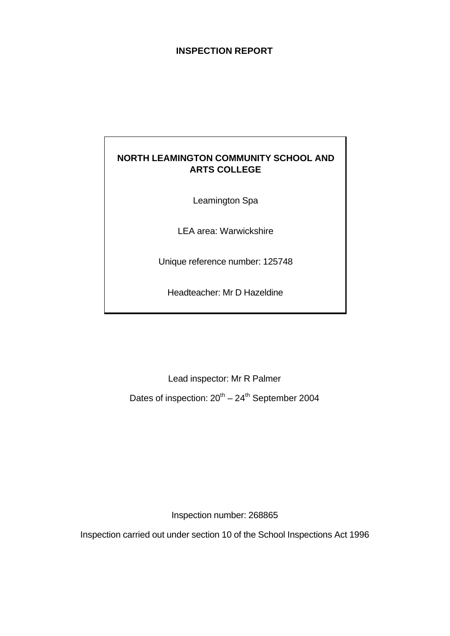# **INSPECTION REPORT**

# **NORTH LEAMINGTON COMMUNITY SCHOOL AND ARTS COLLEGE**

Leamington Spa

LEA area: Warwickshire

Unique reference number: 125748

Headteacher: Mr D Hazeldine

Lead inspector: Mr R Palmer Dates of inspection:  $20^{th} - 24^{th}$  September 2004

Inspection number: 268865

Inspection carried out under section 10 of the School Inspections Act 1996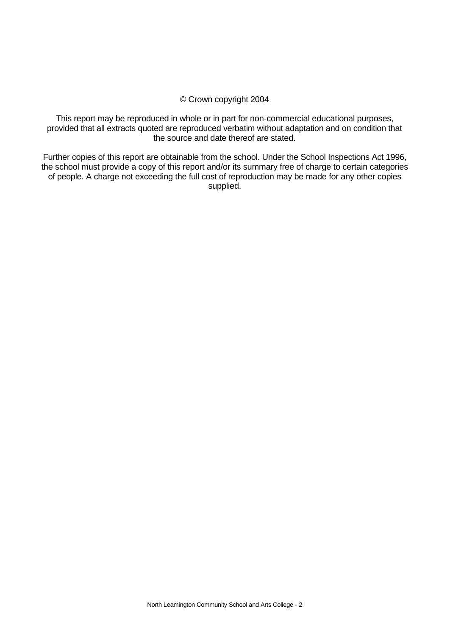#### © Crown copyright 2004

This report may be reproduced in whole or in part for non-commercial educational purposes, provided that all extracts quoted are reproduced verbatim without adaptation and on condition that the source and date thereof are stated.

Further copies of this report are obtainable from the school. Under the School Inspections Act 1996, the school must provide a copy of this report and/or its summary free of charge to certain categories of people. A charge not exceeding the full cost of reproduction may be made for any other copies supplied.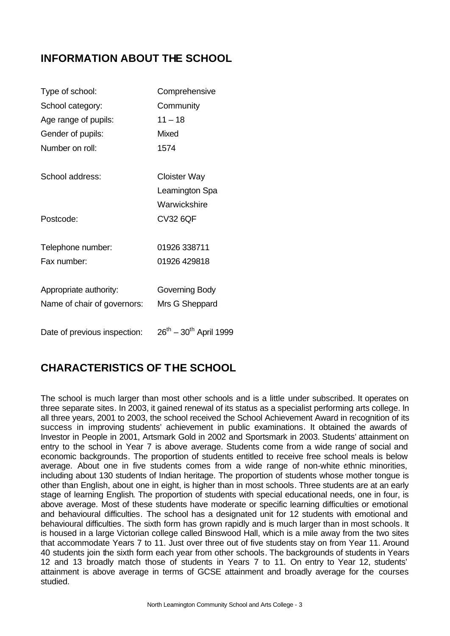# **INFORMATION ABOUT THE SCHOOL**

| Type of school:              | Comprehensive                  |
|------------------------------|--------------------------------|
| School category:             | Community                      |
| Age range of pupils:         | $11 - 18$                      |
| Gender of pupils:            | Mixed                          |
| Number on roll:              | 1574                           |
| School address:              | <b>Cloister Way</b>            |
|                              | Leamington Spa                 |
|                              | Warwickshire                   |
| Postcode:                    | <b>CV32 6QF</b>                |
| Telephone number:            | 01926 338711                   |
| Fax number:                  | 01926 429818                   |
| Appropriate authority:       | Governing Body                 |
| Name of chair of governors:  | Mrs G Sheppard                 |
| Date of previous inspection: | $26^{th} - 30^{th}$ April 1999 |

# **CHARACTERISTICS OF THE SCHOOL**

The school is much larger than most other schools and is a little under subscribed. It operates on three separate sites. In 2003, it gained renewal of its status as a specialist performing arts college. In all three years, 2001 to 2003, the school received the School Achievement Award in recognition of its success in improving students' achievement in public examinations. It obtained the awards of Investor in People in 2001, Artsmark Gold in 2002 and Sportsmark in 2003. Students' attainment on entry to the school in Year 7 is above average. Students come from a wide range of social and economic backgrounds. The proportion of students entitled to receive free school meals is below average. About one in five students comes from a wide range of non-white ethnic minorities, including about 130 students of Indian heritage. The proportion of students whose mother tongue is other than English, about one in eight, is higher than in most schools. Three students are at an early stage of learning English. The proportion of students with special educational needs, one in four, is above average. Most of these students have moderate or specific learning difficulties or emotional and behavioural difficulties. The school has a designated unit for 12 students with emotional and behavioural difficulties. The sixth form has grown rapidly and is much larger than in most schools. It is housed in a large Victorian college called Binswood Hall, which is a mile away from the two sites that accommodate Years 7 to 11. Just over three out of five students stay on from Year 11. Around 40 students join the sixth form each year from other schools. The backgrounds of students in Years 12 and 13 broadly match those of students in Years 7 to 11. On entry to Year 12, students' attainment is above average in terms of GCSE attainment and broadly average for the courses studied.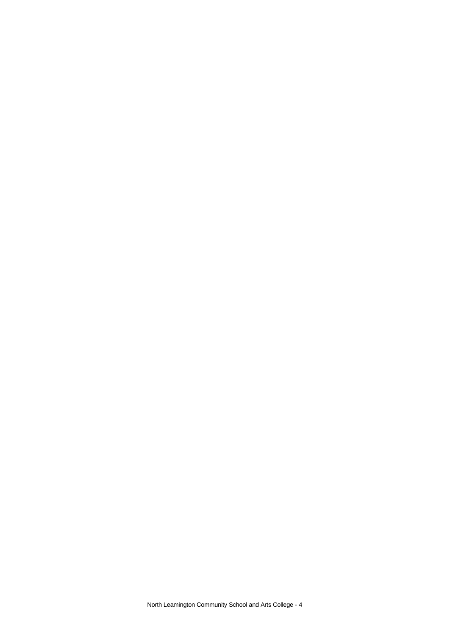North Leamington Community School and Arts College - 4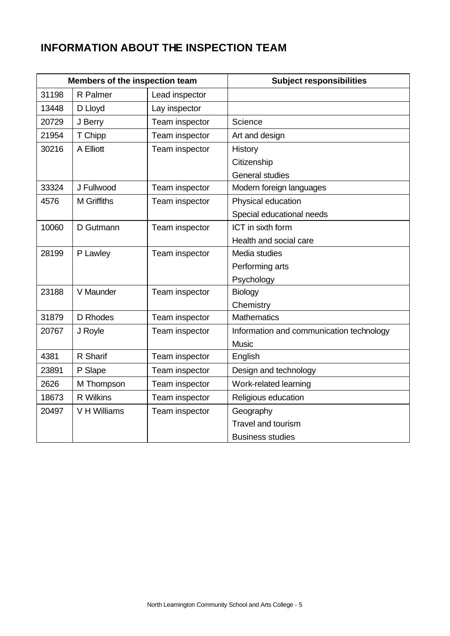# **INFORMATION ABOUT THE INSPECTION TEAM**

| Members of the inspection team |                    |                | <b>Subject responsibilities</b>          |
|--------------------------------|--------------------|----------------|------------------------------------------|
| 31198                          | R Palmer           | Lead inspector |                                          |
| 13448                          | D Lloyd            | Lay inspector  |                                          |
| 20729                          | J Berry            | Team inspector | Science                                  |
| 21954                          | T Chipp            | Team inspector | Art and design                           |
| 30216                          | A Elliott          | Team inspector | History                                  |
|                                |                    |                | Citizenship                              |
|                                |                    |                | <b>General studies</b>                   |
| 33324                          | J Fullwood         | Team inspector | Modern foreign languages                 |
| 4576                           | <b>M</b> Griffiths | Team inspector | Physical education                       |
|                                |                    |                | Special educational needs                |
| 10060                          | D Gutmann          | Team inspector | ICT in sixth form                        |
|                                |                    |                | Health and social care                   |
| 28199                          | P Lawley           | Team inspector | Media studies                            |
|                                |                    |                | Performing arts                          |
|                                |                    |                | Psychology                               |
| 23188                          | V Maunder          | Team inspector | Biology                                  |
|                                |                    |                | Chemistry                                |
| 31879                          | D Rhodes           | Team inspector | <b>Mathematics</b>                       |
| 20767                          | J Royle            | Team inspector | Information and communication technology |
|                                |                    |                | <b>Music</b>                             |
| 4381                           | R Sharif           | Team inspector | English                                  |
| 23891                          | P Slape            | Team inspector | Design and technology                    |
| 2626                           | M Thompson         | Team inspector | Work-related learning                    |
| 18673                          | R Wilkins          | Team inspector | Religious education                      |
| 20497                          | V H Williams       | Team inspector | Geography                                |
|                                |                    |                | Travel and tourism                       |
|                                |                    |                | <b>Business studies</b>                  |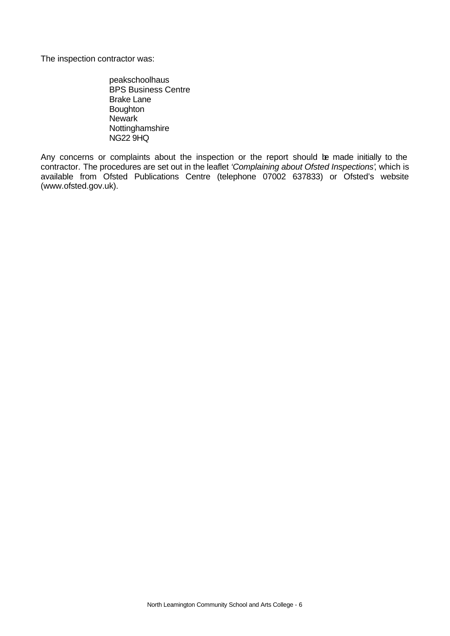The inspection contractor was:

peakschoolhaus BPS Business Centre Brake Lane Boughton Newark Nottinghamshire NG22 9HQ

Any concerns or complaints about the inspection or the report should be made initially to the contractor. The procedures are set out in the leaflet *'Complaining about Ofsted Inspections'*, which is available from Ofsted Publications Centre (telephone 07002 637833) or Ofsted's website (www.ofsted.gov.uk).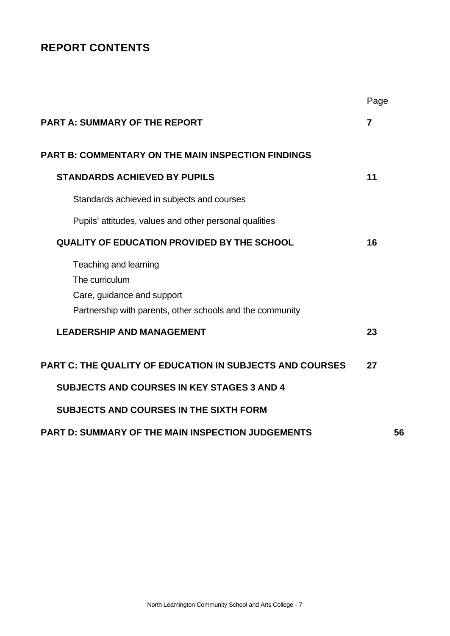# **REPORT CONTENTS**

|                                                                       | Page           |
|-----------------------------------------------------------------------|----------------|
| <b>PART A: SUMMARY OF THE REPORT</b>                                  | $\overline{7}$ |
| <b>PART B: COMMENTARY ON THE MAIN INSPECTION FINDINGS</b>             |                |
| <b>STANDARDS ACHIEVED BY PUPILS</b>                                   | 11             |
| Standards achieved in subjects and courses                            |                |
| Pupils' attitudes, values and other personal qualities                |                |
| <b>QUALITY OF EDUCATION PROVIDED BY THE SCHOOL</b>                    | 16             |
| Teaching and learning<br>The curriculum<br>Care, guidance and support |                |
| Partnership with parents, other schools and the community             |                |
| <b>LEADERSHIP AND MANAGEMENT</b>                                      | 23             |
| <b>PART C: THE QUALITY OF EDUCATION IN SUBJECTS AND COURSES</b>       | 27             |
| <b>SUBJECTS AND COURSES IN KEY STAGES 3 AND 4</b>                     |                |
| <b>SUBJECTS AND COURSES IN THE SIXTH FORM</b>                         |                |
| PART D: SUMMARY OF THE MAIN INSPECTION JUDGEMENTS                     | 56             |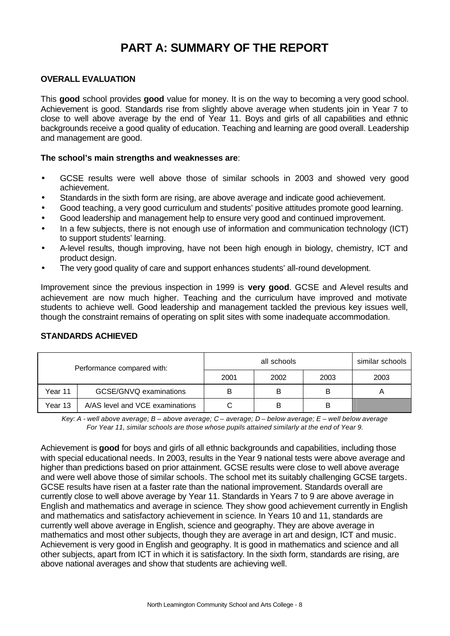# **PART A: SUMMARY OF THE REPORT**

# **OVERALL EVALUATION**

This **good** school provides **good** value for money. It is on the way to becoming a very good school. Achievement is good. Standards rise from slightly above average when students join in Year 7 to close to well above average by the end of Year 11. Boys and girls of all capabilities and ethnic backgrounds receive a good quality of education. Teaching and learning are good overall. Leadership and management are good.

# **The school's main strengths and weaknesses are**:

- GCSE results were well above those of similar schools in 2003 and showed very good achievement.
- Standards in the sixth form are rising, are above average and indicate good achievement.
- Good teaching, a very good curriculum and students' positive attitudes promote good learning.
- Good leadership and management help to ensure very good and continued improvement.
- In a few subjects, there is not enough use of information and communication technology (ICT) to support students' learning.
- A-level results, though improving, have not been high enough in biology, chemistry, ICT and product design.
- The very good quality of care and support enhances students' all-round development.

Improvement since the previous inspection in 1999 is very good. GCSE and Alevel results and achievement are now much higher. Teaching and the curriculum have improved and motivate students to achieve well. Good leadership and management tackled the previous key issues well, though the constraint remains of operating on split sites with some inadequate accommodation.

| Performance compared with: |                                 |      | all schools |      | similar schools |
|----------------------------|---------------------------------|------|-------------|------|-----------------|
|                            |                                 | 2001 | 2002        | 2003 | 2003            |
| Year 11                    | GCSE/GNVQ examinations          | В    | в           | В    |                 |
| Year 13                    | A/AS level and VCE examinations |      | B           | в    |                 |

# **STANDARDS ACHIEVED**

*Key: A - well above average; B – above average; C – average; D – below average; E – well below average For Year 11, similar schools are those whose pupils attained similarly at the end of Year 9.*

Achievement is **good** for boys and girls of all ethnic backgrounds and capabilities, including those with special educational needs. In 2003, results in the Year 9 national tests were above average and higher than predictions based on prior attainment. GCSE results were close to well above average and were well above those of similar schools. The school met its suitably challenging GCSE targets. GCSE results have risen at a faster rate than the national improvement. Standards overall are currently close to well above average by Year 11. Standards in Years 7 to 9 are above average in English and mathematics and average in science. They show good achievement currently in English and mathematics and satisfactory achievement in science. In Years 10 and 11, standards are currently well above average in English, science and geography. They are above average in mathematics and most other subjects, though they are average in art and design, ICT and music. Achievement is very good in English and geography. It is good in mathematics and science and all other subjects, apart from ICT in which it is satisfactory. In the sixth form, standards are rising, are above national averages and show that students are achieving well.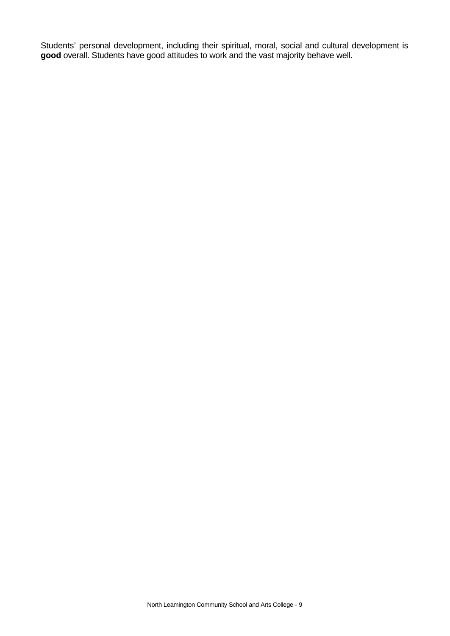Students' personal development, including their spiritual, moral, social and cultural development is **good** overall. Students have good attitudes to work and the vast majority behave well.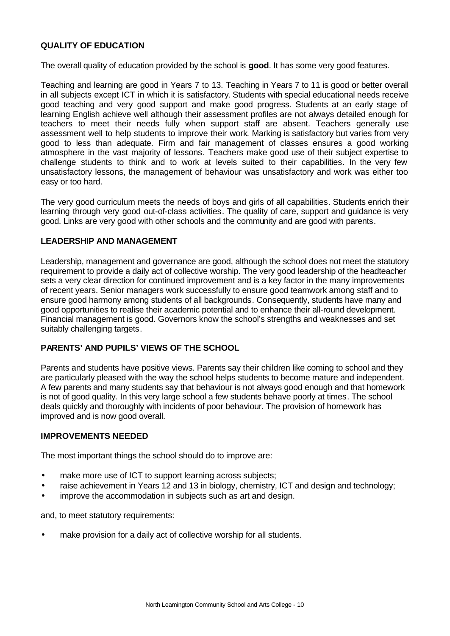# **QUALITY OF EDUCATION**

The overall quality of education provided by the school is **good**. It has some very good features.

Teaching and learning are good in Years 7 to 13. Teaching in Years 7 to 11 is good or better overall in all subjects except ICT in which it is satisfactory. Students with special educational needs receive good teaching and very good support and make good progress. Students at an early stage of learning English achieve well although their assessment profiles are not always detailed enough for teachers to meet their needs fully when support staff are absent. Teachers generally use assessment well to help students to improve their work. Marking is satisfactory but varies from very good to less than adequate. Firm and fair management of classes ensures a good working atmosphere in the vast majority of lessons. Teachers make good use of their subject expertise to challenge students to think and to work at levels suited to their capabilities. In the very few unsatisfactory lessons, the management of behaviour was unsatisfactory and work was either too easy or too hard.

The very good curriculum meets the needs of boys and girls of all capabilities. Students enrich their learning through very good out-of-class activities. The quality of care, support and guidance is very good. Links are very good with other schools and the community and are good with parents.

#### **LEADERSHIP AND MANAGEMENT**

Leadership, management and governance are good, although the school does not meet the statutory requirement to provide a daily act of collective worship. The very good leadership of the headteacher sets a very clear direction for continued improvement and is a key factor in the many improvements of recent years. Senior managers work successfully to ensure good teamwork among staff and to ensure good harmony among students of all backgrounds. Consequently, students have many and good opportunities to realise their academic potential and to enhance their all-round development. Financial management is good. Governors know the school's strengths and weaknesses and set suitably challenging targets.

# **PARENTS' AND PUPILS' VIEWS OF THE SCHOOL**

Parents and students have positive views. Parents say their children like coming to school and they are particularly pleased with the way the school helps students to become mature and independent. A few parents and many students say that behaviour is not always good enough and that homework is not of good quality. In this very large school a few students behave poorly at times. The school deals quickly and thoroughly with incidents of poor behaviour. The provision of homework has improved and is now good overall.

#### **IMPROVEMENTS NEEDED**

The most important things the school should do to improve are:

- make more use of ICT to support learning across subjects;
- raise achievement in Years 12 and 13 in biology, chemistry, ICT and design and technology;
- improve the accommodation in subjects such as art and design.

and, to meet statutory requirements:

make provision for a daily act of collective worship for all students.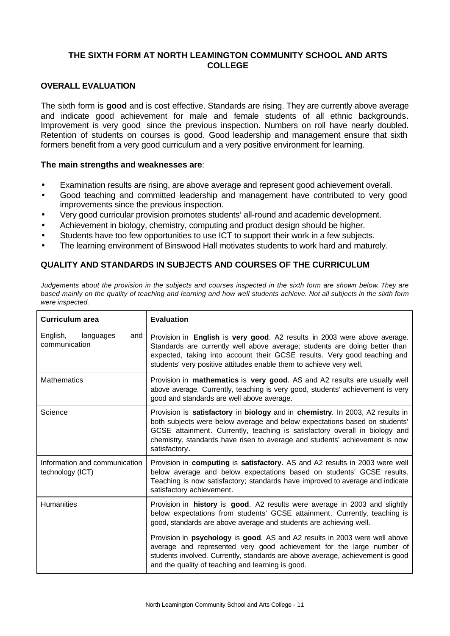# **THE SIXTH FORM AT NORTH LEAMINGTON COMMUNITY SCHOOL AND ARTS COLLEGE**

#### **OVERALL EVALUATION**

The sixth form is **good** and is cost effective. Standards are rising. They are currently above average and indicate good achievement for male and female students of all ethnic backgrounds. Improvement is very good since the previous inspection. Numbers on roll have nearly doubled. Retention of students on courses is good. Good leadership and management ensure that sixth formers benefit from a very good curriculum and a very positive environment for learning.

#### **The main strengths and weaknesses are**:

- Examination results are rising, are above average and represent good achievement overall.
- Good teaching and committed leadership and management have contributed to very good improvements since the previous inspection.
- Very good curricular provision promotes students' all-round and academic development.
- Achievement in biology, chemistry, computing and product design should be higher.
- Students have too few opportunities to use ICT to support their work in a few subjects.
- The learning environment of Binswood Hall motivates students to work hard and maturely.

# **QUALITY AND STANDARDS IN SUBJECTS AND COURSES OF THE CURRICULUM**

*Judgements about the provision in the subjects and courses inspected in the sixth form are shown below. They are based mainly on the quality of teaching and learning and how well students achieve. Not all subjects in the sixth form were inspected.*

| <b>Curriculum area</b>                            | <b>Evaluation</b>                                                                                                                                                                                                                                                                                                                          |
|---------------------------------------------------|--------------------------------------------------------------------------------------------------------------------------------------------------------------------------------------------------------------------------------------------------------------------------------------------------------------------------------------------|
| English,<br>languages<br>and<br>communication     | Provision in English is very good. A2 results in 2003 were above average.<br>Standards are currently well above average; students are doing better than<br>expected, taking into account their GCSE results. Very good teaching and<br>students' very positive attitudes enable them to achieve very well.                                 |
| <b>Mathematics</b>                                | Provision in mathematics is very good. AS and A2 results are usually well<br>above average. Currently, teaching is very good, students' achievement is very<br>good and standards are well above average.                                                                                                                                  |
| Science                                           | Provision is satisfactory in biology and in chemistry. In 2003, A2 results in<br>both subjects were below average and below expectations based on students'<br>GCSE attainment. Currently, teaching is satisfactory overall in biology and<br>chemistry, standards have risen to average and students' achievement is now<br>satisfactory. |
| Information and communication<br>technology (ICT) | Provision in computing is satisfactory. AS and A2 results in 2003 were well<br>below average and below expectations based on students' GCSE results.<br>Teaching is now satisfactory; standards have improved to average and indicate<br>satisfactory achievement.                                                                         |
| <b>Humanities</b>                                 | Provision in history is good. A2 results were average in 2003 and slightly<br>below expectations from students' GCSE attainment. Currently, teaching is<br>good, standards are above average and students are achieving well.                                                                                                              |
|                                                   | Provision in psychology is good. AS and A2 results in 2003 were well above<br>average and represented very good achievement for the large number of<br>students involved. Currently, standards are above average, achievement is good<br>and the quality of teaching and learning is good.                                                 |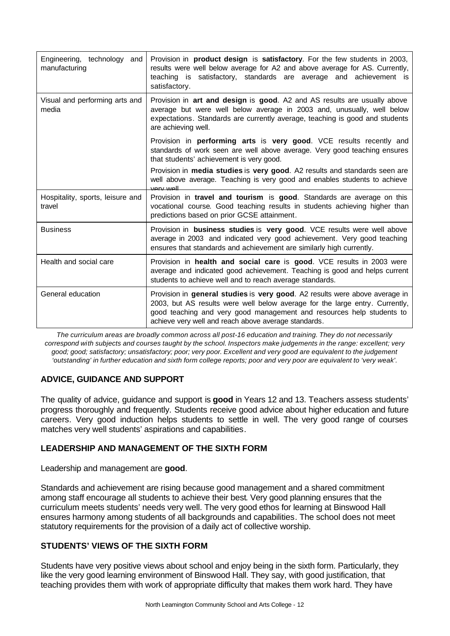| Engineering, technology<br>and<br>manufacturing | Provision in <b>product design</b> is <b>satisfactory</b> . For the few students in 2003,<br>results were well below average for A2 and above average for AS. Currently,<br>teaching is satisfactory, standards are average and achievement is<br>satisfactory.                              |
|-------------------------------------------------|----------------------------------------------------------------------------------------------------------------------------------------------------------------------------------------------------------------------------------------------------------------------------------------------|
| Visual and performing arts and<br>media         | Provision in <b>art and design</b> is <b>good</b> . A2 and AS results are usually above<br>average but were well below average in 2003 and, unusually, well below<br>expectations. Standards are currently average, teaching is good and students<br>are achieving well.                     |
|                                                 | Provision in performing arts is very good. VCE results recently and<br>standards of work seen are well above average. Very good teaching ensures<br>that students' achievement is very good.                                                                                                 |
|                                                 | Provision in media studies is very good. A2 results and standards seen are<br>well above average. Teaching is very good and enables students to achieve<br>المس يصميا                                                                                                                        |
| Hospitality, sports, leisure and<br>travel      | Provision in travel and tourism is good. Standards are average on this<br>vocational course. Good teaching results in students achieving higher than<br>predictions based on prior GCSE attainment.                                                                                          |
| <b>Business</b>                                 | Provision in business studies is very good. VCE results were well above<br>average in 2003 and indicated very good achievement. Very good teaching<br>ensures that standards and achievement are similarly high currently.                                                                   |
| Health and social care                          | Provision in health and social care is good. VCE results in 2003 were<br>average and indicated good achievement. Teaching is good and helps current<br>students to achieve well and to reach average standards.                                                                              |
| General education                               | Provision in general studies is very good. A2 results were above average in<br>2003, but AS results were well below average for the large entry. Currently,<br>good teaching and very good management and resources help students to<br>achieve very well and reach above average standards. |

*The curriculum areas are broadly common across all post-16 education and training. They do not necessarily correspond with subjects and courses taught by the school. Inspectors make judgements in the range: excellent; very good; good; satisfactory; unsatisfactory; poor; very poor. Excellent and very good are equivalent to the judgement 'outstanding' in further education and sixth form college reports; poor and very poor are equivalent to 'very weak'.*

# **ADVICE, GUIDANCE AND SUPPORT**

The quality of advice, guidance and support is **good** in Years 12 and 13. Teachers assess students' progress thoroughly and frequently. Students receive good advice about higher education and future careers. Very good induction helps students to settle in well. The very good range of courses matches very well students' aspirations and capabilities.

# **LEADERSHIP AND MANAGEMENT OF THE SIXTH FORM**

Leadership and management are **good**.

Standards and achievement are rising because good management and a shared commitment among staff encourage all students to achieve their best. Very good planning ensures that the curriculum meets students' needs very well. The very good ethos for learning at Binswood Hall ensures harmony among students of all backgrounds and capabilities. The school does not meet statutory requirements for the provision of a daily act of collective worship.

# **STUDENTS' VIEWS OF THE SIXTH FORM**

Students have very positive views about school and enjoy being in the sixth form. Particularly, they like the very good learning environment of Binswood Hall. They say, with good justification, that teaching provides them with work of appropriate difficulty that makes them work hard. They have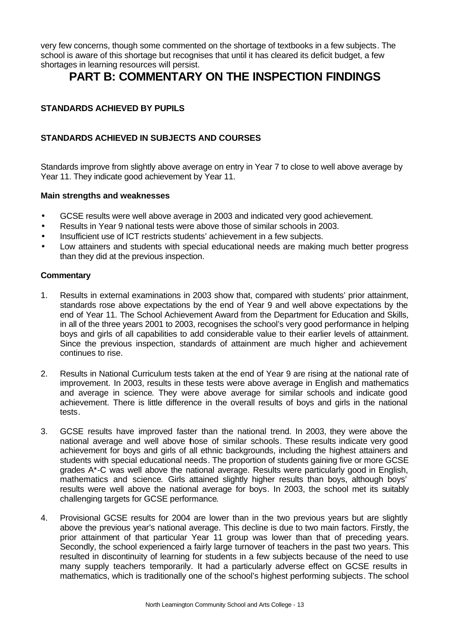very few concerns, though some commented on the shortage of textbooks in a few subjects. The school is aware of this shortage but recognises that until it has cleared its deficit budget, a few shortages in learning resources will persist.

# **PART B: COMMENTARY ON THE INSPECTION FINDINGS**

# **STANDARDS ACHIEVED BY PUPILS**

# **STANDARDS ACHIEVED IN SUBJECTS AND COURSES**

Standards improve from slightly above average on entry in Year 7 to close to well above average by Year 11. They indicate good achievement by Year 11.

# **Main strengths and weaknesses**

- GCSE results were well above average in 2003 and indicated very good achievement.
- Results in Year 9 national tests were above those of similar schools in 2003.
- Insufficient use of ICT restricts students' achievement in a few subjects.
- Low attainers and students with special educational needs are making much better progress than they did at the previous inspection.

- 1. Results in external examinations in 2003 show that, compared with students' prior attainment, standards rose above expectations by the end of Year 9 and well above expectations by the end of Year 11. The School Achievement Award from the Department for Education and Skills, in all of the three years 2001 to 2003, recognises the school's very good performance in helping boys and girls of all capabilities to add considerable value to their earlier levels of attainment. Since the previous inspection, standards of attainment are much higher and achievement continues to rise.
- 2. Results in National Curriculum tests taken at the end of Year 9 are rising at the national rate of improvement. In 2003, results in these tests were above average in English and mathematics and average in science. They were above average for similar schools and indicate good achievement. There is little difference in the overall results of boys and girls in the national tests.
- 3. GCSE results have improved faster than the national trend. In 2003, they were above the national average and well above those of similar schools. These results indicate very good achievement for boys and girls of all ethnic backgrounds, including the highest attainers and students with special educational needs. The proportion of students gaining five or more GCSE grades A\*-C was well above the national average. Results were particularly good in English, mathematics and science. Girls attained slightly higher results than boys, although boys' results were well above the national average for boys. In 2003, the school met its suitably challenging targets for GCSE performance.
- 4. Provisional GCSE results for 2004 are lower than in the two previous years but are slightly above the previous year's national average. This decline is due to two main factors. Firstly, the prior attainment of that particular Year 11 group was lower than that of preceding years. Secondly, the school experienced a fairly large turnover of teachers in the past two years. This resulted in discontinuity of learning for students in a few subjects because of the need to use many supply teachers temporarily. It had a particularly adverse effect on GCSE results in mathematics, which is traditionally one of the school's highest performing subjects. The school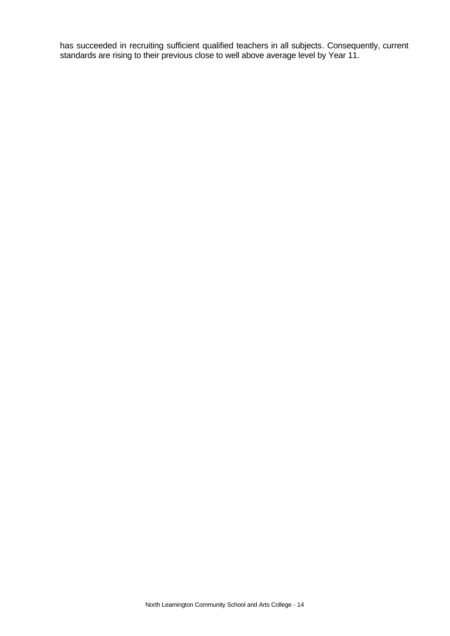has succeeded in recruiting sufficient qualified teachers in all subjects. Consequently, current standards are rising to their previous close to well above average level by Year 11.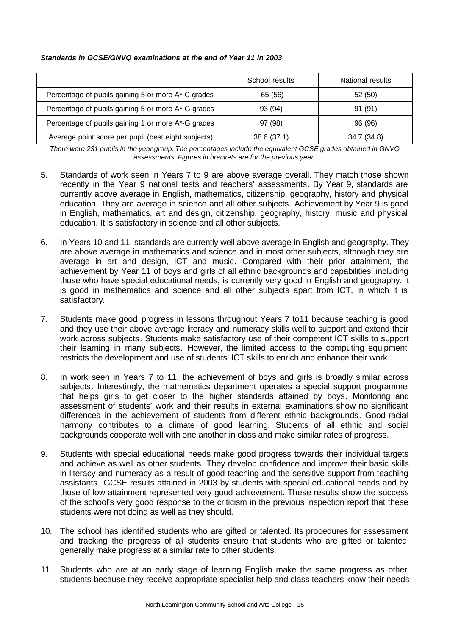#### *Standards in GCSE/GNVQ examinations at the end of Year 11 in 2003*

|                                                     | School results | National results |
|-----------------------------------------------------|----------------|------------------|
| Percentage of pupils gaining 5 or more A*-C grades  | 65 (56)        | 52 (50)          |
| Percentage of pupils gaining 5 or more A*-G grades  | 93 (94)        | 91 (91)          |
| Percentage of pupils gaining 1 or more A*-G grades  | 97 (98)        | 96 (96)          |
| Average point score per pupil (best eight subjects) | 38.6(37.1)     | 34.7 (34.8)      |

*There were 231 pupils in the year group. The percentages include the equivalent GCSE grades obtained in GNVQ assessments. Figures in brackets are for the previous year.* 

- 5. Standards of work seen in Years 7 to 9 are above average overall. They match those shown recently in the Year 9 national tests and teachers' assessments. By Year 9, standards are currently above average in English, mathematics, citizenship, geography, history and physical education. They are average in science and all other subjects. Achievement by Year 9 is good in English, mathematics, art and design, citizenship, geography, history, music and physical education. It is satisfactory in science and all other subjects.
- 6. In Years 10 and 11, standards are currently well above average in English and geography. They are above average in mathematics and science and in most other subjects, although they are average in art and design, ICT and music. Compared with their prior attainment, the achievement by Year 11 of boys and girls of all ethnic backgrounds and capabilities, including those who have special educational needs, is currently very good in English and geography. It is good in mathematics and science and all other subjects apart from ICT, in which it is satisfactory.
- 7. Students make good progress in lessons throughout Years 7 to11 because teaching is good and they use their above average literacy and numeracy skills well to support and extend their work across subjects. Students make satisfactory use of their competent ICT skills to support their learning in many subjects. However, the limited access to the computing equipment restricts the development and use of students' ICT skills to enrich and enhance their work.
- 8. In work seen in Years 7 to 11, the achievement of boys and girls is broadly similar across subjects. Interestingly, the mathematics department operates a special support programme that helps girls to get closer to the higher standards attained by boys. Monitoring and assessment of students' work and their results in external examinations show no significant differences in the achievement of students from different ethnic backgrounds. Good racial harmony contributes to a climate of good learning. Students of all ethnic and social backgrounds cooperate well with one another in class and make similar rates of progress.
- 9. Students with special educational needs make good progress towards their individual targets and achieve as well as other students. They develop confidence and improve their basic skills in literacy and numeracy as a result of good teaching and the sensitive support from teaching assistants. GCSE results attained in 2003 by students with special educational needs and by those of low attainment represented very good achievement. These results show the success of the school's very good response to the criticism in the previous inspection report that these students were not doing as well as they should.
- 10. The school has identified students who are gifted or talented. Its procedures for assessment and tracking the progress of all students ensure that students who are gifted or talented generally make progress at a similar rate to other students.
- 11. Students who are at an early stage of learning English make the same progress as other students because they receive appropriate specialist help and class teachers know their needs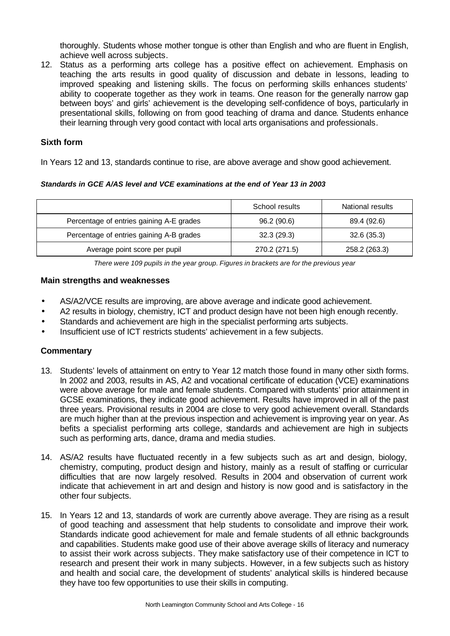thoroughly. Students whose mother tongue is other than English and who are fluent in English, achieve well across subjects.

12. Status as a performing arts college has a positive effect on achievement. Emphasis on teaching the arts results in good quality of discussion and debate in lessons, leading to improved speaking and listening skills. The focus on performing skills enhances students' ability to cooperate together as they work in teams. One reason for the generally narrow gap between boys' and girls' achievement is the developing self-confidence of boys, particularly in presentational skills, following on from good teaching of drama and dance. Students enhance their learning through very good contact with local arts organisations and professionals.

# **Sixth form**

In Years 12 and 13, standards continue to rise, are above average and show good achievement.

#### *Standards in GCE A/AS level and VCE examinations at the end of Year 13 in 2003*

|                                          | School results | National results |
|------------------------------------------|----------------|------------------|
| Percentage of entries gaining A-E grades | 96.2 (90.6)    | 89.4 (92.6)      |
| Percentage of entries gaining A-B grades | 32.3(29.3)     | 32.6(35.3)       |
| Average point score per pupil            | 270.2 (271.5)  | 258.2 (263.3)    |

*There were 109 pupils in the year group. Figures in brackets are for the previous year*

#### **Main strengths and weaknesses**

- AS/A2/VCE results are improving, are above average and indicate good achievement.
- A2 results in biology, chemistry, ICT and product design have not been high enough recently.
- Standards and achievement are high in the specialist performing arts subjects.
- Insufficient use of ICT restricts students' achievement in a few subjects.

- 13. Students' levels of attainment on entry to Year 12 match those found in many other sixth forms. In 2002 and 2003, results in AS, A2 and vocational certificate of education (VCE) examinations were above average for male and female students. Compared with students' prior attainment in GCSE examinations, they indicate good achievement. Results have improved in all of the past three years. Provisional results in 2004 are close to very good achievement overall. Standards are much higher than at the previous inspection and achievement is improving year on year. As befits a specialist performing arts college, standards and achievement are high in subjects such as performing arts, dance, drama and media studies.
- 14. AS/A2 results have fluctuated recently in a few subjects such as art and design, biology, chemistry, computing, product design and history, mainly as a result of staffing or curricular difficulties that are now largely resolved. Results in 2004 and observation of current work indicate that achievement in art and design and history is now good and is satisfactory in the other four subjects.
- 15. In Years 12 and 13, standards of work are currently above average. They are rising as a result of good teaching and assessment that help students to consolidate and improve their work. Standards indicate good achievement for male and female students of all ethnic backgrounds and capabilities. Students make good use of their above average skills of literacy and numeracy to assist their work across subjects. They make satisfactory use of their competence in ICT to research and present their work in many subjects. However, in a few subjects such as history and health and social care, the development of students' analytical skills is hindered because they have too few opportunities to use their skills in computing.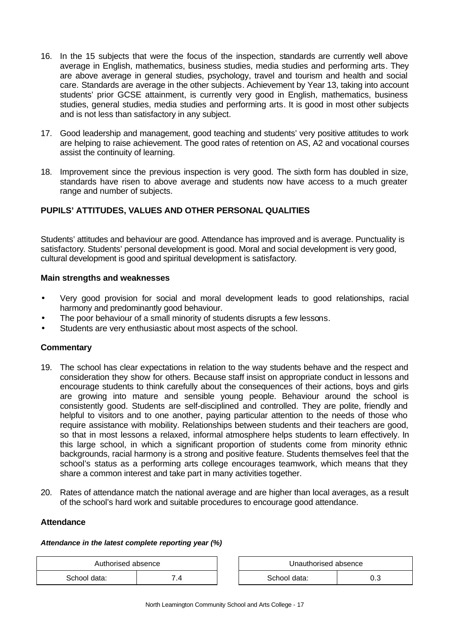- 16. In the 15 subjects that were the focus of the inspection, standards are currently well above average in English, mathematics, business studies, media studies and performing arts. They are above average in general studies, psychology, travel and tourism and health and social care. Standards are average in the other subjects. Achievement by Year 13, taking into account students' prior GCSE attainment, is currently very good in English, mathematics, business studies, general studies, media studies and performing arts. It is good in most other subjects and is not less than satisfactory in any subject.
- 17. Good leadership and management, good teaching and students' very positive attitudes to work are helping to raise achievement. The good rates of retention on AS, A2 and vocational courses assist the continuity of learning.
- 18. Improvement since the previous inspection is very good. The sixth form has doubled in size, standards have risen to above average and students now have access to a much greater range and number of subjects.

# **PUPILS' ATTITUDES, VALUES AND OTHER PERSONAL QUALITIES**

Students' attitudes and behaviour are good. Attendance has improved and is average. Punctuality is satisfactory. Students' personal development is good. Moral and social development is very good, cultural development is good and spiritual development is satisfactory.

#### **Main strengths and weaknesses**

- Very good provision for social and moral development leads to good relationships, racial harmony and predominantly good behaviour.
- The poor behaviour of a small minority of students disrupts a few lessons.
- Students are very enthusiastic about most aspects of the school.

#### **Commentary**

- 19. The school has clear expectations in relation to the way students behave and the respect and consideration they show for others. Because staff insist on appropriate conduct in lessons and encourage students to think carefully about the consequences of their actions, boys and girls are growing into mature and sensible young people. Behaviour around the school is consistently good. Students are self-disciplined and controlled. They are polite, friendly and helpful to visitors and to one another, paying particular attention to the needs of those who require assistance with mobility. Relationships between students and their teachers are good, so that in most lessons a relaxed, informal atmosphere helps students to learn effectively. In this large school, in which a significant proportion of students come from minority ethnic backgrounds, racial harmony is a strong and positive feature. Students themselves feel that the school's status as a performing arts college encourages teamwork, which means that they share a common interest and take part in many activities together.
- 20. Rates of attendance match the national average and are higher than local averages, as a result of the school's hard work and suitable procedures to encourage good attendance.

#### **Attendance**

#### *Attendance in the latest complete reporting year (%)*

| Authorised absence_ |  | Unauthorised absence |  |
|---------------------|--|----------------------|--|
| School<br>data:     |  | School data:         |  |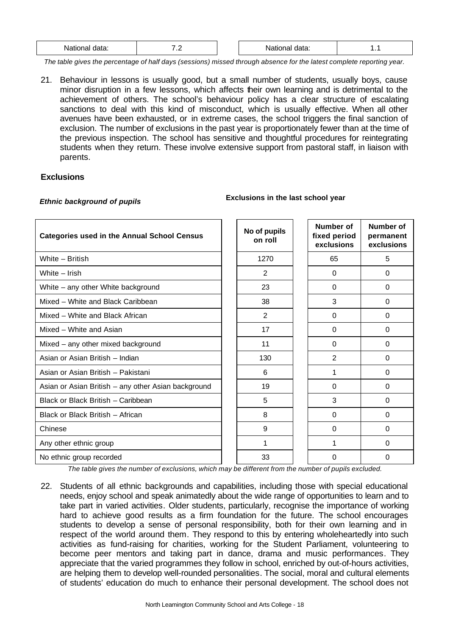|  | M | $\cdot$ $\sim$ | -- |  |
|--|---|----------------|----|--|
|--|---|----------------|----|--|

*The table gives the percentage of half days (sessions) missed through absence for the latest complete reporting year.*

21. Behaviour in lessons is usually good, but a small number of students, usually boys, cause minor disruption in a few lessons, which affects their own learning and is detrimental to the achievement of others. The school's behaviour policy has a clear structure of escalating sanctions to deal with this kind of misconduct, which is usually effective. When all other avenues have been exhausted, or in extreme cases, the school triggers the final sanction of exclusion. The number of exclusions in the past year is proportionately fewer than at the time of the previous inspection. The school has sensitive and thoughtful procedures for reintegrating students when they return. These involve extensive support from pastoral staff, in liaison with parents.

# **Exclusions**

# *Ethnic background of pupils* **Exclusions in the last school year**

| <b>Categories used in the Annual School Census</b>  | No of pupils<br>on roll | <b>Number of</b><br>fixed period<br>exclusions | Number of<br>permanent<br>exclusions |
|-----------------------------------------------------|-------------------------|------------------------------------------------|--------------------------------------|
| White - British                                     | 1270                    | 65                                             | 5                                    |
| White - Irish                                       | 2                       | $\Omega$                                       | $\Omega$                             |
| White - any other White background                  | 23                      | $\Omega$                                       | $\Omega$                             |
| Mixed - White and Black Caribbean                   | 38                      | 3                                              | $\Omega$                             |
| Mixed - White and Black African                     | 2                       | $\Omega$                                       | $\Omega$                             |
| Mixed - White and Asian                             | 17                      | $\Omega$                                       | $\Omega$                             |
| Mixed - any other mixed background                  | 11                      | $\Omega$                                       | $\Omega$                             |
| Asian or Asian British - Indian                     | 130                     | $\overline{2}$                                 | $\Omega$                             |
| Asian or Asian British - Pakistani                  | 6                       | 1                                              | $\Omega$                             |
| Asian or Asian British - any other Asian background | 19                      | $\Omega$                                       | $\Omega$                             |
| Black or Black British - Caribbean                  | 5                       | 3                                              | $\Omega$                             |
| Black or Black British - African                    | 8                       | $\Omega$                                       | $\Omega$                             |
| Chinese                                             | 9                       | $\Omega$                                       | $\Omega$                             |
| Any other ethnic group                              |                         |                                                | $\Omega$                             |
| No ethnic group recorded                            | 33                      | 0                                              | 0                                    |

*The table gives the number of exclusions, which may be different from the number of pupils excluded.*

22. Students of all ethnic backgrounds and capabilities, including those with special educational needs, enjoy school and speak animatedly about the wide range of opportunities to learn and to take part in varied activities. Older students, particularly, recognise the importance of working hard to achieve good results as a firm foundation for the future. The school encourages students to develop a sense of personal responsibility, both for their own learning and in respect of the world around them. They respond to this by entering wholeheartedly into such activities as fund-raising for charities, working for the Student Parliament, volunteering to become peer mentors and taking part in dance, drama and music performances. They appreciate that the varied programmes they follow in school, enriched by out-of-hours activities, are helping them to develop well-rounded personalities. The social, moral and cultural elements of students' education do much to enhance their personal development. The school does not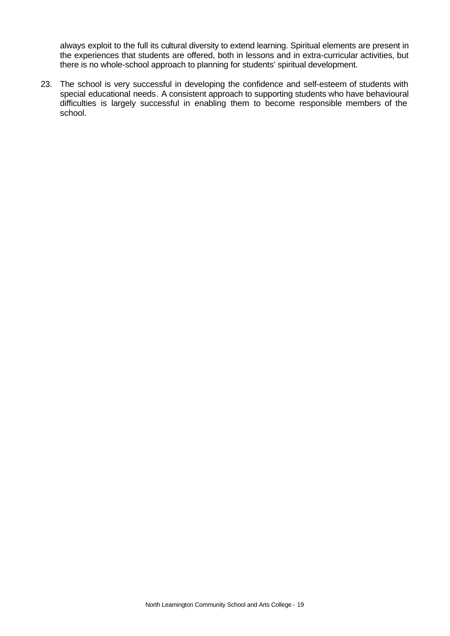always exploit to the full its cultural diversity to extend learning. Spiritual elements are present in the experiences that students are offered, both in lessons and in extra-curricular activities, but there is no whole-school approach to planning for students' spiritual development.

23. The school is very successful in developing the confidence and self-esteem of students with special educational needs. A consistent approach to supporting students who have behavioural difficulties is largely successful in enabling them to become responsible members of the school.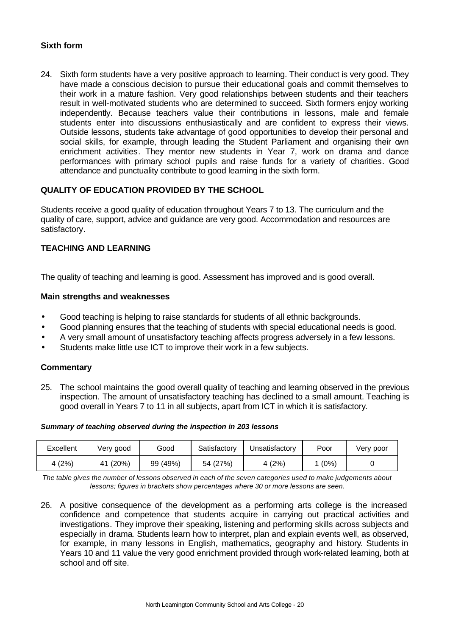# **Sixth form**

24. Sixth form students have a very positive approach to learning. Their conduct is very good. They have made a conscious decision to pursue their educational goals and commit themselves to their work in a mature fashion. Very good relationships between students and their teachers result in well-motivated students who are determined to succeed. Sixth formers enjoy working independently. Because teachers value their contributions in lessons, male and female students enter into discussions enthusiastically and are confident to express their views. Outside lessons, students take advantage of good opportunities to develop their personal and social skills, for example, through leading the Student Parliament and organising their own enrichment activities. They mentor new students in Year 7, work on drama and dance performances with primary school pupils and raise funds for a variety of charities. Good attendance and punctuality contribute to good learning in the sixth form.

# **QUALITY OF EDUCATION PROVIDED BY THE SCHOOL**

Students receive a good quality of education throughout Years 7 to 13. The curriculum and the quality of care, support, advice and guidance are very good. Accommodation and resources are satisfactory.

# **TEACHING AND LEARNING**

The quality of teaching and learning is good. Assessment has improved and is good overall.

#### **Main strengths and weaknesses**

- Good teaching is helping to raise standards for students of all ethnic backgrounds.
- Good planning ensures that the teaching of students with special educational needs is good.
- A very small amount of unsatisfactory teaching affects progress adversely in a few lessons.
- Students make little use ICT to improve their work in a few subjects.

#### **Commentary**

25. The school maintains the good overall quality of teaching and learning observed in the previous inspection. The amount of unsatisfactory teaching has declined to a small amount. Teaching is good overall in Years 7 to 11 in all subjects, apart from ICT in which it is satisfactory.

#### *Summary of teaching observed during the inspection in 203 lessons*

| Excellent | Verv good | Good         | Satisfactory | Jnsatisfactory | Poor | Verv poor |
|-----------|-----------|--------------|--------------|----------------|------|-----------|
| 4 (2%)    | 41 (20%)  | (49%)<br>99. | 54 (27%)     | 4 (2%)         | (0%) |           |

*The table gives the number of lessons observed in each of the seven categories used to make judgements about lessons; figures in brackets show percentages where 30 or more lessons are seen.*

26. A positive consequence of the development as a performing arts college is the increased confidence and competence that students acquire in carrying out practical activities and investigations. They improve their speaking, listening and performing skills across subjects and especially in drama. Students learn how to interpret, plan and explain events well, as observed, for example, in many lessons in English, mathematics, geography and history. Students in Years 10 and 11 value the very good enrichment provided through work-related learning, both at school and off site.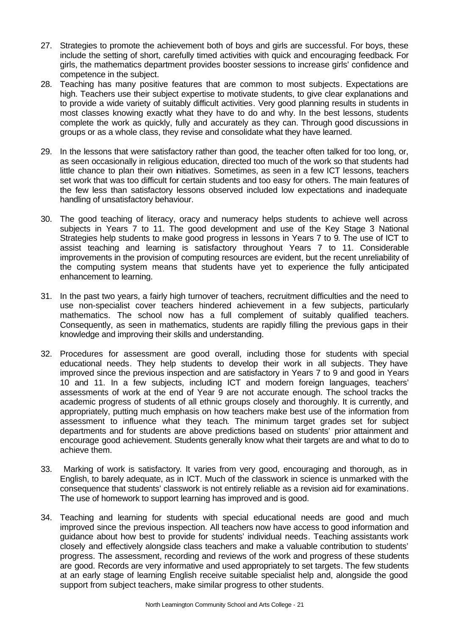- 27. Strategies to promote the achievement both of boys and girls are successful. For boys, these include the setting of short, carefully timed activities with quick and encouraging feedback. For girls, the mathematics department provides booster sessions to increase girls' confidence and competence in the subject.
- 28. Teaching has many positive features that are common to most subjects. Expectations are high. Teachers use their subject expertise to motivate students, to give clear explanations and to provide a wide variety of suitably difficult activities. Very good planning results in students in most classes knowing exactly what they have to do and why. In the best lessons, students complete the work as quickly, fully and accurately as they can. Through good discussions in groups or as a whole class, they revise and consolidate what they have learned.
- 29. In the lessons that were satisfactory rather than good, the teacher often talked for too long, or, as seen occasionally in religious education, directed too much of the work so that students had little chance to plan their own nitiatives. Sometimes, as seen in a few ICT lessons, teachers set work that was too difficult for certain students and too easy for others. The main features of the few less than satisfactory lessons observed included low expectations and inadequate handling of unsatisfactory behaviour.
- 30. The good teaching of literacy, oracy and numeracy helps students to achieve well across subjects in Years 7 to 11. The good development and use of the Key Stage 3 National Strategies help students to make good progress in lessons in Years 7 to 9. The use of ICT to assist teaching and learning is satisfactory throughout Years 7 to 11. Considerable improvements in the provision of computing resources are evident, but the recent unreliability of the computing system means that students have yet to experience the fully anticipated enhancement to learning.
- 31. In the past two years, a fairly high turnover of teachers, recruitment difficulties and the need to use non-specialist cover teachers hindered achievement in a few subjects, particularly mathematics. The school now has a full complement of suitably qualified teachers. Consequently, as seen in mathematics, students are rapidly filling the previous gaps in their knowledge and improving their skills and understanding.
- 32. Procedures for assessment are good overall, including those for students with special educational needs. They help students to develop their work in all subjects. They have improved since the previous inspection and are satisfactory in Years 7 to 9 and good in Years 10 and 11. In a few subjects, including ICT and modern foreign languages, teachers' assessments of work at the end of Year 9 are not accurate enough. The school tracks the academic progress of students of all ethnic groups closely and thoroughly. It is currently, and appropriately, putting much emphasis on how teachers make best use of the information from assessment to influence what they teach. The minimum target grades set for subject departments and for students are above predictions based on students' prior attainment and encourage good achievement. Students generally know what their targets are and what to do to achieve them.
- 33. Marking of work is satisfactory. It varies from very good, encouraging and thorough, as in English, to barely adequate, as in ICT. Much of the classwork in science is unmarked with the consequence that students' classwork is not entirely reliable as a revision aid for examinations. The use of homework to support learning has improved and is good.
- 34. Teaching and learning for students with special educational needs are good and much improved since the previous inspection. All teachers now have access to good information and guidance about how best to provide for students' individual needs. Teaching assistants work closely and effectively alongside class teachers and make a valuable contribution to students' progress. The assessment, recording and reviews of the work and progress of these students are good. Records are very informative and used appropriately to set targets. The few students at an early stage of learning English receive suitable specialist help and, alongside the good support from subject teachers, make similar progress to other students.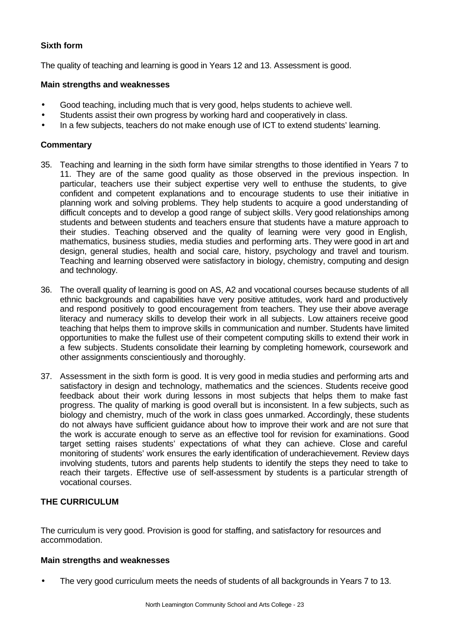# **Sixth form**

The quality of teaching and learning is good in Years 12 and 13. Assessment is good.

#### **Main strengths and weaknesses**

- Good teaching, including much that is very good, helps students to achieve well.
- Students assist their own progress by working hard and cooperatively in class.
- In a few subjects, teachers do not make enough use of ICT to extend students' learning.

# **Commentary**

- 35. Teaching and learning in the sixth form have similar strengths to those identified in Years 7 to 11. They are of the same good quality as those observed in the previous inspection. In particular, teachers use their subject expertise very well to enthuse the students, to give confident and competent explanations and to encourage students to use their initiative in planning work and solving problems. They help students to acquire a good understanding of difficult concepts and to develop a good range of subject skills. Very good relationships among students and between students and teachers ensure that students have a mature approach to their studies. Teaching observed and the quality of learning were very good in English, mathematics, business studies, media studies and performing arts. They were good in art and design, general studies, health and social care, history, psychology and travel and tourism. Teaching and learning observed were satisfactory in biology, chemistry, computing and design and technology.
- 36. The overall quality of learning is good on AS, A2 and vocational courses because students of all ethnic backgrounds and capabilities have very positive attitudes, work hard and productively and respond positively to good encouragement from teachers. They use their above average literacy and numeracy skills to develop their work in all subjects. Low attainers receive good teaching that helps them to improve skills in communication and number. Students have limited opportunities to make the fullest use of their competent computing skills to extend their work in a few subjects. Students consolidate their learning by completing homework, coursework and other assignments conscientiously and thoroughly.
- 37. Assessment in the sixth form is good. It is very good in media studies and performing arts and satisfactory in design and technology, mathematics and the sciences. Students receive good feedback about their work during lessons in most subjects that helps them to make fast progress. The quality of marking is good overall but is inconsistent. In a few subjects, such as biology and chemistry, much of the work in class goes unmarked. Accordingly, these students do not always have sufficient guidance about how to improve their work and are not sure that the work is accurate enough to serve as an effective tool for revision for examinations. Good target setting raises students' expectations of what they can achieve. Close and careful monitoring of students' work ensures the early identification of underachievement. Review days involving students, tutors and parents help students to identify the steps they need to take to reach their targets. Effective use of self-assessment by students is a particular strength of vocational courses.

# **THE CURRICULUM**

The curriculum is very good. Provision is good for staffing, and satisfactory for resources and accommodation.

#### **Main strengths and weaknesses**

• The very good curriculum meets the needs of students of all backgrounds in Years 7 to 13.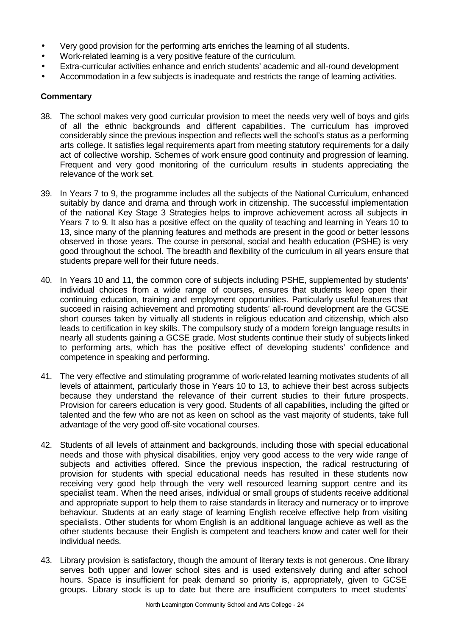- Very good provision for the performing arts enriches the learning of all students.
- Work-related learning is a very positive feature of the curriculum.
- Extra-curricular activities enhance and enrich students' academic and all-round development
- Accommodation in a few subjects is inadequate and restricts the range of learning activities.

- 38. The school makes very good curricular provision to meet the needs very well of boys and girls of all the ethnic backgrounds and different capabilities. The curriculum has improved considerably since the previous inspection and reflects well the school's status as a performing arts college. It satisfies legal requirements apart from meeting statutory requirements for a daily act of collective worship. Schemes of work ensure good continuity and progression of learning. Frequent and very good monitoring of the curriculum results in students appreciating the relevance of the work set.
- 39. In Years 7 to 9, the programme includes all the subjects of the National Curriculum, enhanced suitably by dance and drama and through work in citizenship. The successful implementation of the national Key Stage 3 Strategies helps to improve achievement across all subjects in Years 7 to 9. It also has a positive effect on the quality of teaching and learning in Years 10 to 13, since many of the planning features and methods are present in the good or better lessons observed in those years. The course in personal, social and health education (PSHE) is very good throughout the school. The breadth and flexibility of the curriculum in all years ensure that students prepare well for their future needs.
- 40. In Years 10 and 11, the common core of subjects including PSHE, supplemented by students' individual choices from a wide range of courses, ensures that students keep open their continuing education, training and employment opportunities. Particularly useful features that succeed in raising achievement and promoting students' all-round development are the GCSE short courses taken by virtually all students in religious education and citizenship, which also leads to certification in key skills. The compulsory study of a modern foreign language results in nearly all students gaining a GCSE grade. Most students continue their study of subjects linked to performing arts, which has the positive effect of developing students' confidence and competence in speaking and performing.
- 41. The very effective and stimulating programme of work-related learning motivates students of all levels of attainment, particularly those in Years 10 to 13, to achieve their best across subjects because they understand the relevance of their current studies to their future prospects. Provision for careers education is very good. Students of all capabilities, including the gifted or talented and the few who are not as keen on school as the vast majority of students, take full advantage of the very good off-site vocational courses.
- 42. Students of all levels of attainment and backgrounds, including those with special educational needs and those with physical disabilities, enjoy very good access to the very wide range of subjects and activities offered. Since the previous inspection, the radical restructuring of provision for students with special educational needs has resulted in these students now receiving very good help through the very well resourced learning support centre and its specialist team. When the need arises, individual or small groups of students receive additional and appropriate support to help them to raise standards in literacy and numeracy or to improve behaviour. Students at an early stage of learning English receive effective help from visiting specialists. Other students for whom English is an additional language achieve as well as the other students because their English is competent and teachers know and cater well for their individual needs.
- 43. Library provision is satisfactory, though the amount of literary texts is not generous. One library serves both upper and lower school sites and is used extensively during and after school hours. Space is insufficient for peak demand so priority is, appropriately, given to GCSE groups. Library stock is up to date but there are insufficient computers to meet students'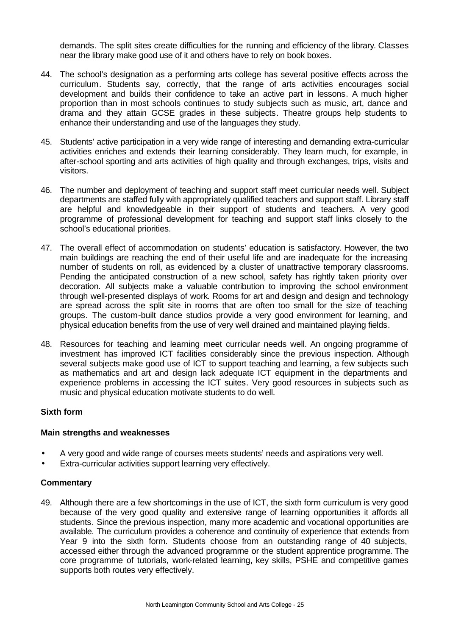demands. The split sites create difficulties for the running and efficiency of the library. Classes near the library make good use of it and others have to rely on book boxes.

- 44. The school's designation as a performing arts college has several positive effects across the curriculum. Students say, correctly, that the range of arts activities encourages social development and builds their confidence to take an active part in lessons. A much higher proportion than in most schools continues to study subjects such as music, art, dance and drama and they attain GCSE grades in these subjects. Theatre groups help students to enhance their understanding and use of the languages they study.
- 45. Students' active participation in a very wide range of interesting and demanding extra-curricular activities enriches and extends their learning considerably. They learn much, for example, in after-school sporting and arts activities of high quality and through exchanges, trips, visits and visitors.
- 46. The number and deployment of teaching and support staff meet curricular needs well. Subject departments are staffed fully with appropriately qualified teachers and support staff. Library staff are helpful and knowledgeable in their support of students and teachers. A very good programme of professional development for teaching and support staff links closely to the school's educational priorities.
- 47. The overall effect of accommodation on students' education is satisfactory. However, the two main buildings are reaching the end of their useful life and are inadequate for the increasing number of students on roll, as evidenced by a cluster of unattractive temporary classrooms. Pending the anticipated construction of a new school, safety has rightly taken priority over decoration. All subjects make a valuable contribution to improving the school environment through well-presented displays of work. Rooms for art and design and design and technology are spread across the split site in rooms that are often too small for the size of teaching groups. The custom-built dance studios provide a very good environment for learning, and physical education benefits from the use of very well drained and maintained playing fields.
- 48. Resources for teaching and learning meet curricular needs well. An ongoing programme of investment has improved ICT facilities considerably since the previous inspection. Although several subjects make good use of ICT to support teaching and learning, a few subjects such as mathematics and art and design lack adequate ICT equipment in the departments and experience problems in accessing the ICT suites. Very good resources in subjects such as music and physical education motivate students to do well.

# **Sixth form**

# **Main strengths and weaknesses**

- A very good and wide range of courses meets students' needs and aspirations very well.
- Extra-curricular activities support learning very effectively.

# **Commentary**

49. Although there are a few shortcomings in the use of ICT, the sixth form curriculum is very good because of the very good quality and extensive range of learning opportunities it affords all students. Since the previous inspection, many more academic and vocational opportunities are available. The curriculum provides a coherence and continuity of experience that extends from Year 9 into the sixth form. Students choose from an outstanding range of 40 subjects, accessed either through the advanced programme or the student apprentice programme. The core programme of tutorials, work-related learning, key skills, PSHE and competitive games supports both routes very effectively.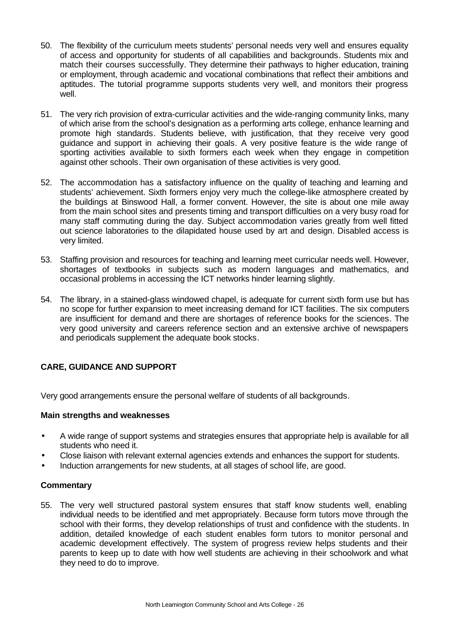- 50. The flexibility of the curriculum meets students' personal needs very well and ensures equality of access and opportunity for students of all capabilities and backgrounds. Students mix and match their courses successfully. They determine their pathways to higher education, training or employment, through academic and vocational combinations that reflect their ambitions and aptitudes. The tutorial programme supports students very well, and monitors their progress well.
- 51. The very rich provision of extra-curricular activities and the wide-ranging community links, many of which arise from the school's designation as a performing arts college, enhance learning and promote high standards. Students believe, with justification, that they receive very good guidance and support in achieving their goals. A very positive feature is the wide range of sporting activities available to sixth formers each week when they engage in competition against other schools. Their own organisation of these activities is very good.
- 52. The accommodation has a satisfactory influence on the quality of teaching and learning and students' achievement. Sixth formers enjoy very much the college-like atmosphere created by the buildings at Binswood Hall, a former convent. However, the site is about one mile away from the main school sites and presents timing and transport difficulties on a very busy road for many staff commuting during the day. Subject accommodation varies greatly from well fitted out science laboratories to the dilapidated house used by art and design. Disabled access is very limited.
- 53. Staffing provision and resources for teaching and learning meet curricular needs well. However, shortages of textbooks in subjects such as modern languages and mathematics, and occasional problems in accessing the ICT networks hinder learning slightly.
- 54. The library, in a stained-glass windowed chapel, is adequate for current sixth form use but has no scope for further expansion to meet increasing demand for ICT facilities. The six computers are insufficient for demand and there are shortages of reference books for the sciences. The very good university and careers reference section and an extensive archive of newspapers and periodicals supplement the adequate book stocks.

# **CARE, GUIDANCE AND SUPPORT**

Very good arrangements ensure the personal welfare of students of all backgrounds.

# **Main strengths and weaknesses**

- A wide range of support systems and strategies ensures that appropriate help is available for all students who need it.
- Close liaison with relevant external agencies extends and enhances the support for students.
- Induction arrangements for new students, at all stages of school life, are good.

# **Commentary**

55. The very well structured pastoral system ensures that staff know students well, enabling individual needs to be identified and met appropriately. Because form tutors move through the school with their forms, they develop relationships of trust and confidence with the students. In addition, detailed knowledge of each student enables form tutors to monitor personal and academic development effectively. The system of progress review helps students and their parents to keep up to date with how well students are achieving in their schoolwork and what they need to do to improve.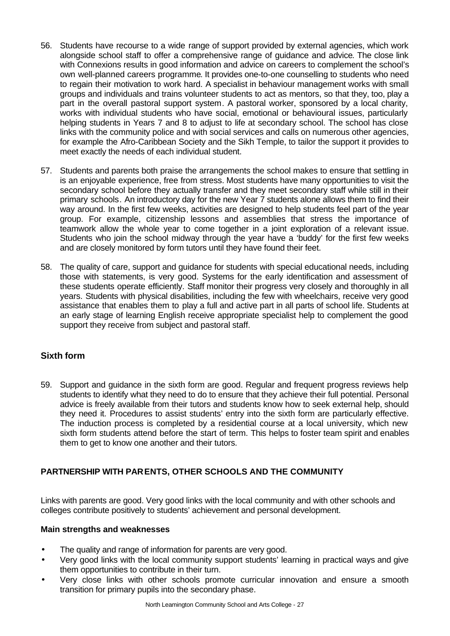- 56. Students have recourse to a wide range of support provided by external agencies, which work alongside school staff to offer a comprehensive range of guidance and advice. The close link with Connexions results in good information and advice on careers to complement the school's own well-planned careers programme. It provides one-to-one counselling to students who need to regain their motivation to work hard. A specialist in behaviour management works with small groups and individuals and trains volunteer students to act as mentors, so that they, too, play a part in the overall pastoral support system. A pastoral worker, sponsored by a local charity, works with individual students who have social, emotional or behavioural issues, particularly helping students in Years 7 and 8 to adjust to life at secondary school. The school has close links with the community police and with social services and calls on numerous other agencies, for example the Afro-Caribbean Society and the Sikh Temple, to tailor the support it provides to meet exactly the needs of each individual student.
- 57. Students and parents both praise the arrangements the school makes to ensure that settling in is an enjoyable experience, free from stress. Most students have many opportunities to visit the secondary school before they actually transfer and they meet secondary staff while still in their primary schools. An introductory day for the new Year 7 students alone allows them to find their way around. In the first few weeks, activities are designed to help students feel part of the year group. For example, citizenship lessons and assemblies that stress the importance of teamwork allow the whole year to come together in a joint exploration of a relevant issue. Students who join the school midway through the year have a 'buddy' for the first few weeks and are closely monitored by form tutors until they have found their feet.
- 58. The quality of care, support and guidance for students with special educational needs, including those with statements, is very good. Systems for the early identification and assessment of these students operate efficiently. Staff monitor their progress very closely and thoroughly in all years. Students with physical disabilities, including the few with wheelchairs, receive very good assistance that enables them to play a full and active part in all parts of school life. Students at an early stage of learning English receive appropriate specialist help to complement the good support they receive from subject and pastoral staff.

# **Sixth form**

59. Support and guidance in the sixth form are good. Regular and frequent progress reviews help students to identify what they need to do to ensure that they achieve their full potential. Personal advice is freely available from their tutors and students know how to seek external help, should they need it. Procedures to assist students' entry into the sixth form are particularly effective. The induction process is completed by a residential course at a local university, which new sixth form students attend before the start of term. This helps to foster team spirit and enables them to get to know one another and their tutors.

# **PARTNERSHIP WITH PARENTS, OTHER SCHOOLS AND THE COMMUNITY**

Links with parents are good. Very good links with the local community and with other schools and colleges contribute positively to students' achievement and personal development.

# **Main strengths and weaknesses**

- The quality and range of information for parents are very good.
- Very good links with the local community support students' learning in practical ways and give them opportunities to contribute in their turn.
- Very close links with other schools promote curricular innovation and ensure a smooth transition for primary pupils into the secondary phase.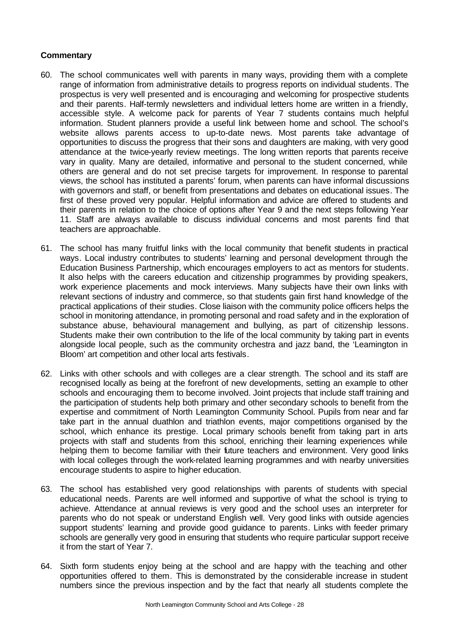- 60. The school communicates well with parents in many ways, providing them with a complete range of information from administrative details to progress reports on individual students. The prospectus is very well presented and is encouraging and welcoming for prospective students and their parents. Half-termly newsletters and individual letters home are written in a friendly, accessible style. A welcome pack for parents of Year 7 students contains much helpful information. Student planners provide a useful link between home and school. The school's website allows parents access to up-to-date news. Most parents take advantage of opportunities to discuss the progress that their sons and daughters are making, with very good attendance at the twice-yearly review meetings. The long written reports that parents receive vary in quality. Many are detailed, informative and personal to the student concerned, while others are general and do not set precise targets for improvement. In response to parental views, the school has instituted a parents' forum, when parents can have informal discussions with governors and staff, or benefit from presentations and debates on educational issues. The first of these proved very popular. Helpful information and advice are offered to students and their parents in relation to the choice of options after Year 9 and the next steps following Year 11. Staff are always available to discuss individual concerns and most parents find that teachers are approachable.
- 61. The school has many fruitful links with the local community that benefit students in practical ways. Local industry contributes to students' learning and personal development through the Education Business Partnership, which encourages employers to act as mentors for students. It also helps with the careers education and citizenship programmes by providing speakers, work experience placements and mock interviews. Many subjects have their own links with relevant sections of industry and commerce, so that students gain first hand knowledge of the practical applications of their studies. Close liaison with the community police officers helps the school in monitoring attendance, in promoting personal and road safety and in the exploration of substance abuse, behavioural management and bullying, as part of citizenship lessons. Students make their own contribution to the life of the local community by taking part in events alongside local people, such as the community orchestra and jazz band, the 'Leamington in Bloom' art competition and other local arts festivals.
- 62. Links with other schools and with colleges are a clear strength. The school and its staff are recognised locally as being at the forefront of new developments, setting an example to other schools and encouraging them to become involved. Joint projects that include staff training and the participation of students help both primary and other secondary schools to benefit from the expertise and commitment of North Leamington Community School. Pupils from near and far take part in the annual duathlon and triathlon events, major competitions organised by the school, which enhance its prestige. Local primary schools benefit from taking part in arts projects with staff and students from this school, enriching their learning experiences while helping them to become familiar with their future teachers and environment. Very good links with local colleges through the work-related learning programmes and with nearby universities encourage students to aspire to higher education.
- 63. The school has established very good relationships with parents of students with special educational needs. Parents are well informed and supportive of what the school is trying to achieve. Attendance at annual reviews is very good and the school uses an interpreter for parents who do not speak or understand English well. Very good links with outside agencies support students' learning and provide good guidance to parents. Links with feeder primary schools are generally very good in ensuring that students who require particular support receive it from the start of Year 7.
- 64. Sixth form students enjoy being at the school and are happy with the teaching and other opportunities offered to them. This is demonstrated by the considerable increase in student numbers since the previous inspection and by the fact that nearly all students complete the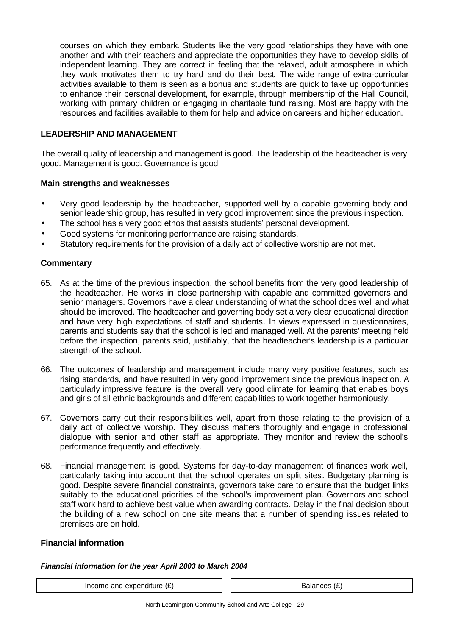courses on which they embark. Students like the very good relationships they have with one another and with their teachers and appreciate the opportunities they have to develop skills of independent learning. They are correct in feeling that the relaxed, adult atmosphere in which they work motivates them to try hard and do their best. The wide range of extra-curricular activities available to them is seen as a bonus and students are quick to take up opportunities to enhance their personal development, for example, through membership of the Hall Council, working with primary children or engaging in charitable fund raising. Most are happy with the resources and facilities available to them for help and advice on careers and higher education.

#### **LEADERSHIP AND MANAGEMENT**

The overall quality of leadership and management is good. The leadership of the headteacher is very good. Management is good. Governance is good.

#### **Main strengths and weaknesses**

- Very good leadership by the headteacher, supported well by a capable governing body and senior leadership group, has resulted in very good improvement since the previous inspection.
- The school has a very good ethos that assists students' personal development.
- Good systems for monitoring performance are raising standards.
- Statutory requirements for the provision of a daily act of collective worship are not met.

#### **Commentary**

- 65. As at the time of the previous inspection, the school benefits from the very good leadership of the headteacher. He works in close partnership with capable and committed governors and senior managers. Governors have a clear understanding of what the school does well and what should be improved. The headteacher and governing body set a very clear educational direction and have very high expectations of staff and students. In views expressed in questionnaires, parents and students say that the school is led and managed well. At the parents' meeting held before the inspection, parents said, justifiably, that the headteacher's leadership is a particular strength of the school.
- 66. The outcomes of leadership and management include many very positive features, such as rising standards, and have resulted in very good improvement since the previous inspection. A particularly impressive feature is the overall very good climate for learning that enables boys and girls of all ethnic backgrounds and different capabilities to work together harmoniously.
- 67. Governors carry out their responsibilities well, apart from those relating to the provision of a daily act of collective worship. They discuss matters thoroughly and engage in professional dialogue with senior and other staff as appropriate. They monitor and review the school's performance frequently and effectively.
- 68. Financial management is good. Systems for day-to-day management of finances work well, particularly taking into account that the school operates on split sites. Budgetary planning is good. Despite severe financial constraints, governors take care to ensure that the budget links suitably to the educational priorities of the school's improvement plan. Governors and school staff work hard to achieve best value when awarding contracts. Delay in the final decision about the building of a new school on one site means that a number of spending issues related to premises are on hold.

#### **Financial information**

#### *Financial information for the year April 2003 to March 2004*

Income and expenditure  $(E)$   $\qquad$   $\qquad$  Balances  $(E)$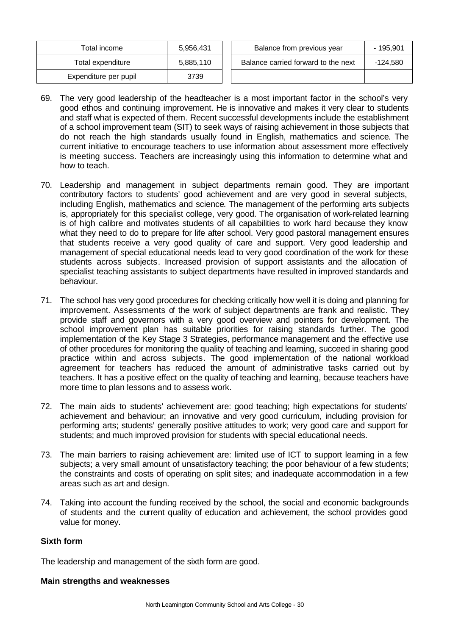| Total income          | 5.956.431 | Balance from previous year<br>- 195,901           |
|-----------------------|-----------|---------------------------------------------------|
| Total expenditure     | 5.885.110 | Balance carried forward to the next<br>$-124.580$ |
| Expenditure per pupil | 3739      |                                                   |

- 69. The very good leadership of the headteacher is a most important factor in the school's very good ethos and continuing improvement. He is innovative and makes it very clear to students and staff what is expected of them. Recent successful developments include the establishment of a school improvement team (SIT) to seek ways of raising achievement in those subjects that do not reach the high standards usually found in English, mathematics and science. The current initiative to encourage teachers to use information about assessment more effectively is meeting success. Teachers are increasingly using this information to determine what and how to teach.
- 70. Leadership and management in subject departments remain good. They are important contributory factors to students' good achievement and are very good in several subjects, including English, mathematics and science. The management of the performing arts subjects is, appropriately for this specialist college, very good. The organisation of work-related learning is of high calibre and motivates students of all capabilities to work hard because they know what they need to do to prepare for life after school. Very good pastoral management ensures that students receive a very good quality of care and support. Very good leadership and management of special educational needs lead to very good coordination of the work for these students across subjects. Increased provision of support assistants and the allocation of specialist teaching assistants to subject departments have resulted in improved standards and behaviour.
- 71. The school has very good procedures for checking critically how well it is doing and planning for improvement. Assessments of the work of subject departments are frank and realistic. They provide staff and governors with a very good overview and pointers for development. The school improvement plan has suitable priorities for raising standards further. The good implementation of the Key Stage 3 Strategies, performance management and the effective use of other procedures for monitoring the quality of teaching and learning, succeed in sharing good practice within and across subjects. The good implementation of the national workload agreement for teachers has reduced the amount of administrative tasks carried out by teachers. It has a positive effect on the quality of teaching and learning, because teachers have more time to plan lessons and to assess work.
- 72. The main aids to students' achievement are: good teaching; high expectations for students' achievement and behaviour; an innovative and very good curriculum, including provision for performing arts; students' generally positive attitudes to work; very good care and support for students; and much improved provision for students with special educational needs.
- 73. The main barriers to raising achievement are: limited use of ICT to support learning in a few subjects; a very small amount of unsatisfactory teaching; the poor behaviour of a few students; the constraints and costs of operating on split sites; and inadequate accommodation in a few areas such as art and design.
- 74. Taking into account the funding received by the school, the social and economic backgrounds of students and the current quality of education and achievement, the school provides good value for money.

# **Sixth form**

The leadership and management of the sixth form are good.

# **Main strengths and weaknesses**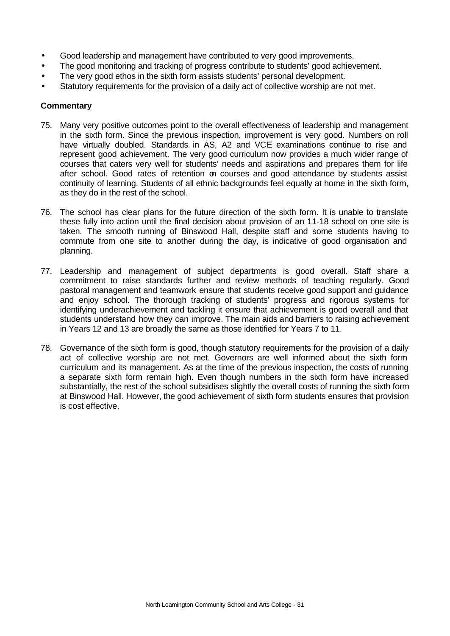- Good leadership and management have contributed to very good improvements.
- The good monitoring and tracking of progress contribute to students' good achievement.
- The very good ethos in the sixth form assists students' personal development.
- Statutory requirements for the provision of a daily act of collective worship are not met.

- 75. Many very positive outcomes point to the overall effectiveness of leadership and management in the sixth form. Since the previous inspection, improvement is very good. Numbers on roll have virtually doubled. Standards in AS, A2 and VCE examinations continue to rise and represent good achievement. The very good curriculum now provides a much wider range of courses that caters very well for students' needs and aspirations and prepares them for life after school. Good rates of retention on courses and good attendance by students assist continuity of learning. Students of all ethnic backgrounds feel equally at home in the sixth form, as they do in the rest of the school.
- 76. The school has clear plans for the future direction of the sixth form. It is unable to translate these fully into action until the final decision about provision of an 11-18 school on one site is taken. The smooth running of Binswood Hall, despite staff and some students having to commute from one site to another during the day, is indicative of good organisation and planning.
- 77. Leadership and management of subject departments is good overall. Staff share a commitment to raise standards further and review methods of teaching regularly. Good pastoral management and teamwork ensure that students receive good support and guidance and enjoy school. The thorough tracking of students' progress and rigorous systems for identifying underachievement and tackling it ensure that achievement is good overall and that students understand how they can improve. The main aids and barriers to raising achievement in Years 12 and 13 are broadly the same as those identified for Years 7 to 11.
- 78. Governance of the sixth form is good, though statutory requirements for the provision of a daily act of collective worship are not met. Governors are well informed about the sixth form curriculum and its management. As at the time of the previous inspection, the costs of running a separate sixth form remain high. Even though numbers in the sixth form have increased substantially, the rest of the school subsidises slightly the overall costs of running the sixth form at Binswood Hall. However, the good achievement of sixth form students ensures that provision is cost effective.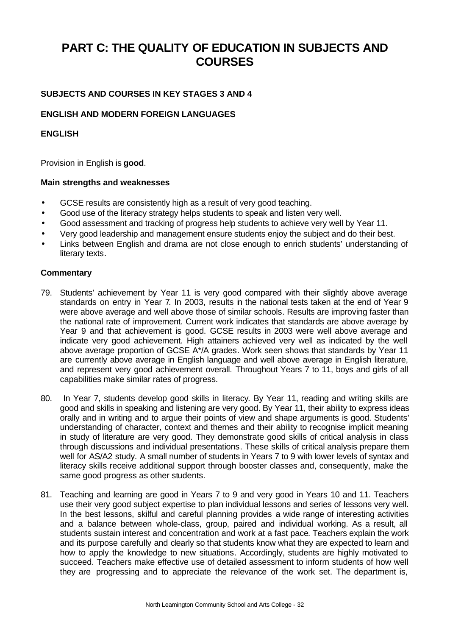# **PART C: THE QUALITY OF EDUCATION IN SUBJECTS AND COURSES**

# **SUBJECTS AND COURSES IN KEY STAGES 3 AND 4**

# **ENGLISH AND MODERN FOREIGN LANGUAGES**

# **ENGLISH**

Provision in English is **good**.

#### **Main strengths and weaknesses**

- GCSE results are consistently high as a result of very good teaching.
- Good use of the literacy strategy helps students to speak and listen very well.
- Good assessment and tracking of progress help students to achieve very well by Year 11.
- Very good leadership and management ensure students enjoy the subject and do their best.
- Links between English and drama are not close enough to enrich students' understanding of literary texts.

- 79. Students' achievement by Year 11 is very good compared with their slightly above average standards on entry in Year 7. In 2003, results in the national tests taken at the end of Year 9 were above average and well above those of similar schools. Results are improving faster than the national rate of improvement. Current work indicates that standards are above average by Year 9 and that achievement is good. GCSE results in 2003 were well above average and indicate very good achievement. High attainers achieved very well as indicated by the well above average proportion of GCSE A\*/A grades. Work seen shows that standards by Year 11 are currently above average in English language and well above average in English literature, and represent very good achievement overall. Throughout Years 7 to 11, boys and girls of all capabilities make similar rates of progress.
- 80. In Year 7, students develop good skills in literacy. By Year 11, reading and writing skills are good and skills in speaking and listening are very good. By Year 11, their ability to express ideas orally and in writing and to argue their points of view and shape arguments is good. Students' understanding of character, context and themes and their ability to recognise implicit meaning in study of literature are very good. They demonstrate good skills of critical analysis in class through discussions and individual presentations. These skills of critical analysis prepare them well for AS/A2 study. A small number of students in Years 7 to 9 with lower levels of syntax and literacy skills receive additional support through booster classes and, consequently, make the same good progress as other students.
- 81. Teaching and learning are good in Years 7 to 9 and very good in Years 10 and 11. Teachers use their very good subject expertise to plan individual lessons and series of lessons very well. In the best lessons, skilful and careful planning provides a wide range of interesting activities and a balance between whole-class, group, paired and individual working. As a result, all students sustain interest and concentration and work at a fast pace. Teachers explain the work and its purpose carefully and clearly so that students know what they are expected to learn and how to apply the knowledge to new situations. Accordingly, students are highly motivated to succeed. Teachers make effective use of detailed assessment to inform students of how well they are progressing and to appreciate the relevance of the work set. The department is,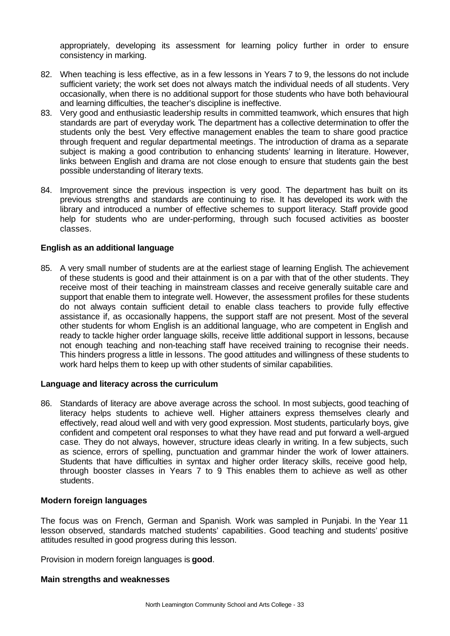appropriately, developing its assessment for learning policy further in order to ensure consistency in marking.

- 82. When teaching is less effective, as in a few lessons in Years 7 to 9, the lessons do not include sufficient variety; the work set does not always match the individual needs of all students. Very occasionally, when there is no additional support for those students who have both behavioural and learning difficulties, the teacher's discipline is ineffective.
- 83. Very good and enthusiastic leadership results in committed teamwork, which ensures that high standards are part of everyday work. The department has a collective determination to offer the students only the best. Very effective management enables the team to share good practice through frequent and regular departmental meetings. The introduction of drama as a separate subject is making a good contribution to enhancing students' learning in literature. However, links between English and drama are not close enough to ensure that students gain the best possible understanding of literary texts.
- 84. Improvement since the previous inspection is very good. The department has built on its previous strengths and standards are continuing to rise. It has developed its work with the library and introduced a number of effective schemes to support literacy. Staff provide good help for students who are under-performing, through such focused activities as booster classes.

#### **English as an additional language**

85. A very small number of students are at the earliest stage of learning English. The achievement of these students is good and their attainment is on a par with that of the other students. They receive most of their teaching in mainstream classes and receive generally suitable care and support that enable them to integrate well. However, the assessment profiles for these students do not always contain sufficient detail to enable class teachers to provide fully effective assistance if, as occasionally happens, the support staff are not present. Most of the several other students for whom English is an additional language, who are competent in English and ready to tackle higher order language skills, receive little additional support in lessons, because not enough teaching and non-teaching staff have received training to recognise their needs. This hinders progress a little in lessons. The good attitudes and willingness of these students to work hard helps them to keep up with other students of similar capabilities.

#### **Language and literacy across the curriculum**

86. Standards of literacy are above average across the school. In most subjects, good teaching of literacy helps students to achieve well. Higher attainers express themselves clearly and effectively, read aloud well and with very good expression. Most students, particularly boys, give confident and competent oral responses to what they have read and put forward a well-argued case. They do not always, however, structure ideas clearly in writing. In a few subjects, such as science, errors of spelling, punctuation and grammar hinder the work of lower attainers. Students that have difficulties in syntax and higher order literacy skills, receive good help, through booster classes in Years 7 to 9. This enables them to achieve as well as other students.

#### **Modern foreign languages**

The focus was on French, German and Spanish. Work was sampled in Punjabi. In the Year 11 lesson observed, standards matched students' capabilities. Good teaching and students' positive attitudes resulted in good progress during this lesson.

Provision in modern foreign languages is **good**.

#### **Main strengths and weaknesses**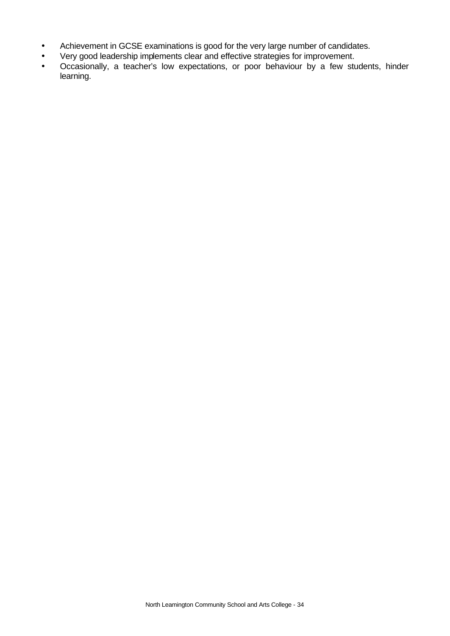- Achievement in GCSE examinations is good for the very large number of candidates.
- Very good leadership implements clear and effective strategies for improvement.
- Occasionally, a teacher's low expectations, or poor behaviour by a few students, hinder learning.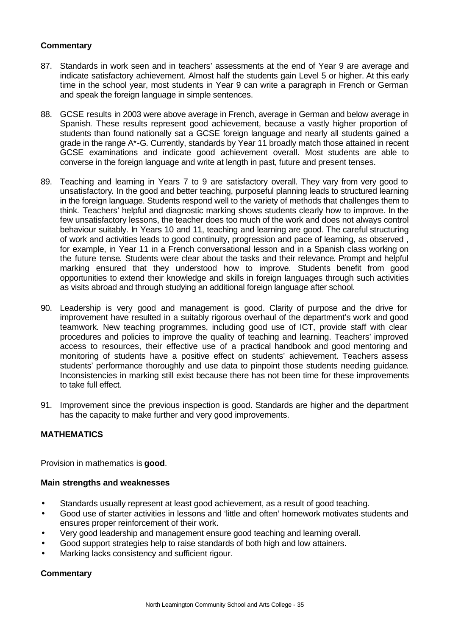# **Commentary**

- 87. Standards in work seen and in teachers' assessments at the end of Year 9 are average and indicate satisfactory achievement. Almost half the students gain Level 5 or higher. At this early time in the school year, most students in Year 9 can write a paragraph in French or German and speak the foreign language in simple sentences.
- 88. GCSE results in 2003 were above average in French, average in German and below average in Spanish. These results represent good achievement, because a vastly higher proportion of students than found nationally sat a GCSE foreign language and nearly all students gained a grade in the range A\*-G. Currently, standards by Year 11 broadly match those attained in recent GCSE examinations and indicate good achievement overall. Most students are able to converse in the foreign language and write at length in past, future and present tenses.
- 89. Teaching and learning in Years 7 to 9 are satisfactory overall. They vary from very good to unsatisfactory. In the good and better teaching, purposeful planning leads to structured learning in the foreign language. Students respond well to the variety of methods that challenges them to think. Teachers' helpful and diagnostic marking shows students clearly how to improve. In the few unsatisfactory lessons, the teacher does too much of the work and does not always control behaviour suitably. In Years 10 and 11, teaching and learning are good. The careful structuring of work and activities leads to good continuity, progression and pace of learning, as observed , for example, in Year 11 in a French conversational lesson and in a Spanish class working on the future tense. Students were clear about the tasks and their relevance. Prompt and helpful marking ensured that they understood how to improve. Students benefit from good opportunities to extend their knowledge and skills in foreign languages through such activities as visits abroad and through studying an additional foreign language after school.
- 90. Leadership is very good and management is good. Clarity of purpose and the drive for improvement have resulted in a suitably rigorous overhaul of the department's work and good teamwork. New teaching programmes, including good use of ICT, provide staff with clear procedures and policies to improve the quality of teaching and learning. Teachers' improved access to resources, their effective use of a practical handbook and good mentoring and monitoring of students have a positive effect on students' achievement. Teachers assess students' performance thoroughly and use data to pinpoint those students needing guidance. Inconsistencies in marking still exist because there has not been time for these improvements to take full effect.
- 91. Improvement since the previous inspection is good. Standards are higher and the department has the capacity to make further and very good improvements.

# **MATHEMATICS**

Provision in mathematics is **good**.

# **Main strengths and weaknesses**

- Standards usually represent at least good achievement, as a result of good teaching.
- Good use of starter activities in lessons and 'little and often' homework motivates students and ensures proper reinforcement of their work.
- Very good leadership and management ensure good teaching and learning overall.
- Good support strategies help to raise standards of both high and low attainers.
- Marking lacks consistency and sufficient rigour.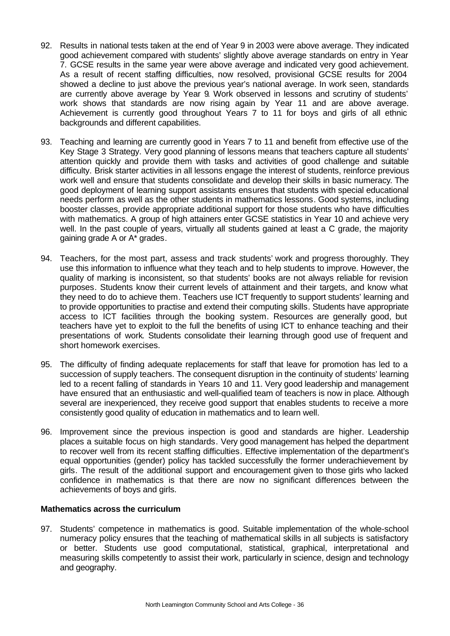- 92. Results in national tests taken at the end of Year 9 in 2003 were above average. They indicated good achievement compared with students' slightly above average standards on entry in Year 7. GCSE results in the same year were above average and indicated very good achievement. As a result of recent staffing difficulties, now resolved, provisional GCSE results for 2004 showed a decline to just above the previous year's national average. In work seen, standards are currently above average by Year 9. Work observed in lessons and scrutiny of students' work shows that standards are now rising again by Year 11 and are above average. Achievement is currently good throughout Years 7 to 11 for boys and girls of all ethnic backgrounds and different capabilities.
- 93. Teaching and learning are currently good in Years 7 to 11 and benefit from effective use of the Key Stage 3 Strategy. Very good planning of lessons means that teachers capture all students' attention quickly and provide them with tasks and activities of good challenge and suitable difficulty. Brisk starter activities in all lessons engage the interest of students, reinforce previous work well and ensure that students consolidate and develop their skills in basic numeracy. The good deployment of learning support assistants ensures that students with special educational needs perform as well as the other students in mathematics lessons. Good systems, including booster classes, provide appropriate additional support for those students who have difficulties with mathematics. A group of high attainers enter GCSE statistics in Year 10 and achieve very well. In the past couple of years, virtually all students gained at least a C grade, the majority gaining grade A or A\* grades.
- 94. Teachers, for the most part, assess and track students' work and progress thoroughly. They use this information to influence what they teach and to help students to improve. However, the quality of marking is inconsistent, so that students' books are not always reliable for revision purposes. Students know their current levels of attainment and their targets, and know what they need to do to achieve them. Teachers use ICT frequently to support students' learning and to provide opportunities to practise and extend their computing skills. Students have appropriate access to ICT facilities through the booking system. Resources are generally good, but teachers have yet to exploit to the full the benefits of using ICT to enhance teaching and their presentations of work. Students consolidate their learning through good use of frequent and short homework exercises.
- 95. The difficulty of finding adequate replacements for staff that leave for promotion has led to a succession of supply teachers. The consequent disruption in the continuity of students' learning led to a recent falling of standards in Years 10 and 11. Very good leadership and management have ensured that an enthusiastic and well-qualified team of teachers is now in place. Although several are inexperienced, they receive good support that enables students to receive a more consistently good quality of education in mathematics and to learn well.
- 96. Improvement since the previous inspection is good and standards are higher. Leadership places a suitable focus on high standards. Very good management has helped the department to recover well from its recent staffing difficulties. Effective implementation of the department's equal opportunities (gender) policy has tackled successfully the former underachievement by girls. The result of the additional support and encouragement given to those girls who lacked confidence in mathematics is that there are now no significant differences between the achievements of boys and girls.

#### **Mathematics across the curriculum**

97. Students' competence in mathematics is good. Suitable implementation of the whole-school numeracy policy ensures that the teaching of mathematical skills in all subjects is satisfactory or better. Students use good computational, statistical, graphical, interpretational and measuring skills competently to assist their work, particularly in science, design and technology and geography.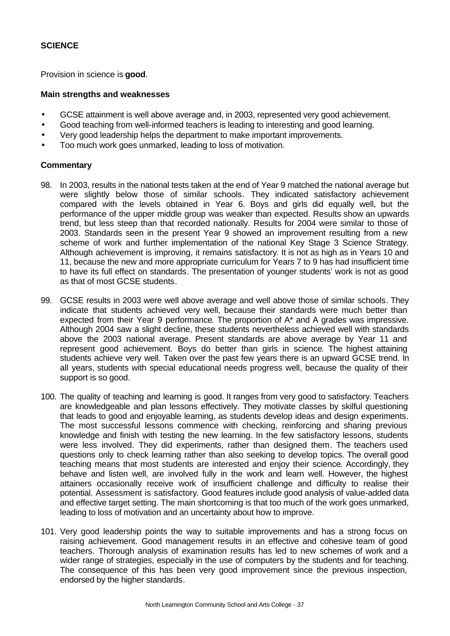# **SCIENCE**

Provision in science is **good**.

#### **Main strengths and weaknesses**

- GCSE attainment is well above average and, in 2003, represented very good achievement.
- Good teaching from well-informed teachers is leading to interesting and good learning.
- Very good leadership helps the department to make important improvements.
- Too much work goes unmarked, leading to loss of motivation.

- 98. In 2003, results in the national tests taken at the end of Year 9 matched the national average but were slightly below those of similar schools. They indicated satisfactory achievement compared with the levels obtained in Year 6. Boys and girls did equally well, but the performance of the upper middle group was weaker than expected. Results show an upwards trend, but less steep than that recorded nationally. Results for 2004 were similar to those of 2003. Standards seen in the present Year 9 showed an improvement resulting from a new scheme of work and further implementation of the national Key Stage 3 Science Strategy. Although achievement is improving, it remains satisfactory. It is not as high as in Years 10 and 11, because the new and more appropriate curriculum for Years 7 to 9 has had insufficient time to have its full effect on standards. The presentation of younger students' work is not as good as that of most GCSE students.
- 99. GCSE results in 2003 were well above average and well above those of similar schools. They indicate that students achieved very well, because their standards were much better than expected from their Year 9 performance. The proportion of  $A^*$  and A grades was impressive. Although 2004 saw a slight decline, these students nevertheless achieved well with standards above the 2003 national average. Present standards are above average by Year 11 and represent good achievement. Boys do better than girls in science. The highest attaining students achieve very well. Taken over the past few years there is an upward GCSE trend. In all years, students with special educational needs progress well, because the quality of their support is so good.
- 100. The quality of teaching and learning is good. It ranges from very good to satisfactory. Teachers are knowledgeable and plan lessons effectively. They motivate classes by skilful questioning that leads to good and enjoyable learning, as students develop ideas and design experiments. The most successful lessons commence with checking, reinforcing and sharing previous knowledge and finish with testing the new learning. In the few satisfactory lessons, students were less involved. They did experiments, rather than designed them. The teachers used questions only to check learning rather than also seeking to develop topics. The overall good teaching means that most students are interested and enjoy their science. Accordingly, they behave and listen well, are involved fully in the work and learn well. However, the highest attainers occasionally receive work of insufficient challenge and difficulty to realise their potential. Assessment is satisfactory. Good features include good analysis of value-added data and effective target setting. The main shortcoming is that too much of the work goes unmarked, leading to loss of motivation and an uncertainty about how to improve.
- 101. Very good leadership points the way to suitable improvements and has a strong focus on raising achievement. Good management results in an effective and cohesive team of good teachers. Thorough analysis of examination results has led to new schemes of work and a wider range of strategies, especially in the use of computers by the students and for teaching. The consequence of this has been very good improvement since the previous inspection, endorsed by the higher standards.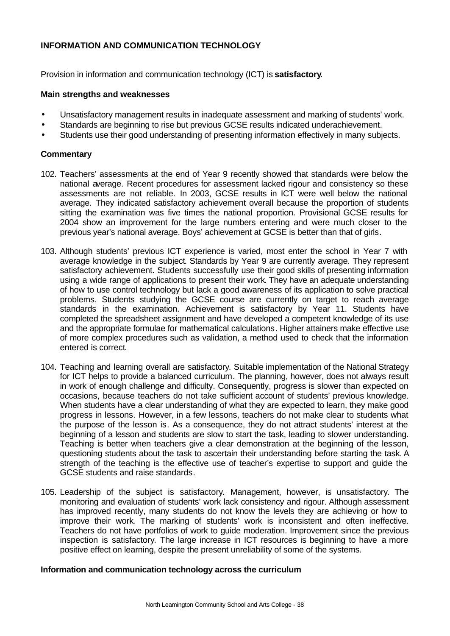# **INFORMATION AND COMMUNICATION TECHNOLOGY**

Provision in information and communication technology (ICT) is **satisfactory**.

# **Main strengths and weaknesses**

- Unsatisfactory management results in inadequate assessment and marking of students' work.
- Standards are beginning to rise but previous GCSE results indicated underachievement.
- Students use their good understanding of presenting information effectively in many subjects.

# **Commentary**

- 102. Teachers' assessments at the end of Year 9 recently showed that standards were below the national average. Recent procedures for assessment lacked rigour and consistency so these assessments are not reliable. In 2003, GCSE results in ICT were well below the national average. They indicated satisfactory achievement overall because the proportion of students sitting the examination was five times the national proportion. Provisional GCSE results for 2004 show an improvement for the large numbers entering and were much closer to the previous year's national average. Boys' achievement at GCSE is better than that of girls.
- 103. Although students' previous ICT experience is varied, most enter the school in Year 7 with average knowledge in the subject. Standards by Year 9 are currently average. They represent satisfactory achievement. Students successfully use their good skills of presenting information using a wide range of applications to present their work. They have an adequate understanding of how to use control technology but lack a good awareness of its application to solve practical problems. Students studying the GCSE course are currently on target to reach average standards in the examination. Achievement is satisfactory by Year 11. Students have completed the spreadsheet assignment and have developed a competent knowledge of its use and the appropriate formulae for mathematical calculations. Higher attainers make effective use of more complex procedures such as validation, a method used to check that the information entered is correct.
- 104. Teaching and learning overall are satisfactory. Suitable implementation of the National Strategy for ICT helps to provide a balanced curriculum. The planning, however, does not always result in work of enough challenge and difficulty. Consequently, progress is slower than expected on occasions, because teachers do not take sufficient account of students' previous knowledge. When students have a clear understanding of what they are expected to learn, they make good progress in lessons. However, in a few lessons, teachers do not make clear to students what the purpose of the lesson is. As a consequence, they do not attract students' interest at the beginning of a lesson and students are slow to start the task, leading to slower understanding. Teaching is better when teachers give a clear demonstration at the beginning of the lesson, questioning students about the task to ascertain their understanding before starting the task. A strength of the teaching is the effective use of teacher's expertise to support and guide the GCSE students and raise standards.
- 105. Leadership of the subject is satisfactory. Management, however, is unsatisfactory. The monitoring and evaluation of students' work lack consistency and rigour. Although assessment has improved recently, many students do not know the levels they are achieving or how to improve their work. The marking of students' work is inconsistent and often ineffective. Teachers do not have portfolios of work to guide moderation. Improvement since the previous inspection is satisfactory. The large increase in ICT resources is beginning to have a more positive effect on learning, despite the present unreliability of some of the systems.

# **Information and communication technology across the curriculum**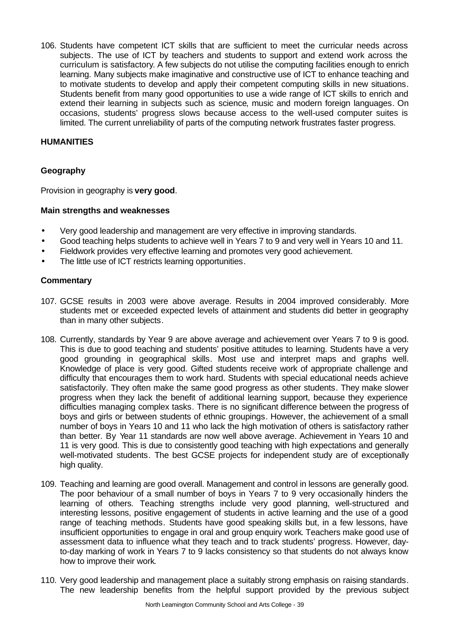106. Students have competent ICT skills that are sufficient to meet the curricular needs across subjects. The use of ICT by teachers and students to support and extend work across the curriculum is satisfactory. A few subjects do not utilise the computing facilities enough to enrich learning. Many subjects make imaginative and constructive use of ICT to enhance teaching and to motivate students to develop and apply their competent computing skills in new situations. Students benefit from many good opportunities to use a wide range of ICT skills to enrich and extend their learning in subjects such as science, music and modern foreign languages. On occasions, students' progress slows because access to the well-used computer suites is limited. The current unreliability of parts of the computing network frustrates faster progress.

# **HUMANITIES**

# **Geography**

Provision in geography is **very good**.

# **Main strengths and weaknesses**

- Very good leadership and management are very effective in improving standards.
- Good teaching helps students to achieve well in Years 7 to 9 and very well in Years 10 and 11.
- Fieldwork provides very effective learning and promotes very good achievement.
- The little use of ICT restricts learning opportunities.

- 107. GCSE results in 2003 were above average. Results in 2004 improved considerably. More students met or exceeded expected levels of attainment and students did better in geography than in many other subjects.
- 108. Currently, standards by Year 9 are above average and achievement over Years 7 to 9 is good. This is due to good teaching and students' positive attitudes to learning. Students have a very good grounding in geographical skills. Most use and interpret maps and graphs well. Knowledge of place is very good. Gifted students receive work of appropriate challenge and difficulty that encourages them to work hard. Students with special educational needs achieve satisfactorily. They often make the same good progress as other students. They make slower progress when they lack the benefit of additional learning support, because they experience difficulties managing complex tasks. There is no significant difference between the progress of boys and girls or between students of ethnic groupings. However, the achievement of a small number of boys in Years 10 and 11 who lack the high motivation of others is satisfactory rather than better. By Year 11 standards are now well above average. Achievement in Years 10 and 11 is very good. This is due to consistently good teaching with high expectations and generally well-motivated students. The best GCSE projects for independent study are of exceptionally high quality.
- 109. Teaching and learning are good overall. Management and control in lessons are generally good. The poor behaviour of a small number of boys in Years 7 to 9 very occasionally hinders the learning of others. Teaching strengths include very good planning, well-structured and interesting lessons, positive engagement of students in active learning and the use of a good range of teaching methods. Students have good speaking skills but, in a few lessons, have insufficient opportunities to engage in oral and group enquiry work. Teachers make good use of assessment data to influence what they teach and to track students' progress. However, dayto-day marking of work in Years 7 to 9 lacks consistency so that students do not always know how to improve their work.
- 110. Very good leadership and management place a suitably strong emphasis on raising standards. The new leadership benefits from the helpful support provided by the previous subject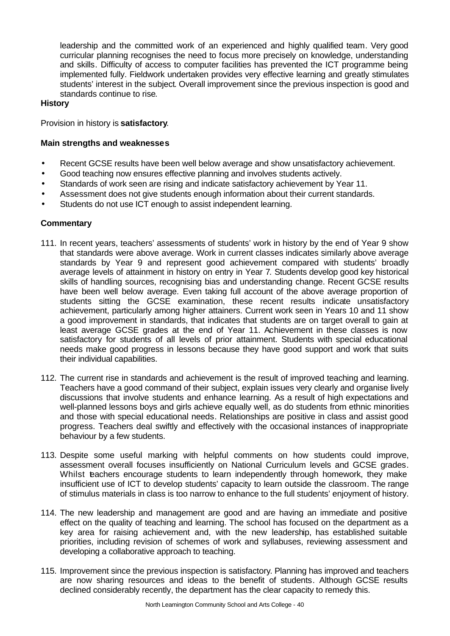leadership and the committed work of an experienced and highly qualified team. Very good curricular planning recognises the need to focus more precisely on knowledge, understanding and skills. Difficulty of access to computer facilities has prevented the ICT programme being implemented fully. Fieldwork undertaken provides very effective learning and greatly stimulates students' interest in the subject. Overall improvement since the previous inspection is good and standards continue to rise.

#### **History**

Provision in history is **satisfactory**.

#### **Main strengths and weaknesses**

- Recent GCSE results have been well below average and show unsatisfactory achievement.
- Good teaching now ensures effective planning and involves students actively.
- Standards of work seen are rising and indicate satisfactory achievement by Year 11.
- Assessment does not give students enough information about their current standards.
- Students do not use ICT enough to assist independent learning.

- 111. In recent years, teachers' assessments of students' work in history by the end of Year 9 show that standards were above average. Work in current classes indicates similarly above average standards by Year 9 and represent good achievement compared with students' broadly average levels of attainment in history on entry in Year 7. Students develop good key historical skills of handling sources, recognising bias and understanding change. Recent GCSE results have been well below average. Even taking full account of the above average proportion of students sitting the GCSE examination, these recent results indicate unsatisfactory achievement, particularly among higher attainers. Current work seen in Years 10 and 11 show a good improvement in standards, that indicates that students are on target overall to gain at least average GCSE grades at the end of Year 11. Achievement in these classes is now satisfactory for students of all levels of prior attainment. Students with special educational needs make good progress in lessons because they have good support and work that suits their individual capabilities.
- 112. The current rise in standards and achievement is the result of improved teaching and learning. Teachers have a good command of their subject, explain issues very clearly and organise lively discussions that involve students and enhance learning. As a result of high expectations and well-planned lessons boys and girls achieve equally well, as do students from ethnic minorities and those with special educational needs. Relationships are positive in class and assist good progress. Teachers deal swiftly and effectively with the occasional instances of inappropriate behaviour by a few students.
- 113. Despite some useful marking with helpful comments on how students could improve, assessment overall focuses insufficiently on National Curriculum levels and GCSE grades. Whilst teachers encourage students to learn independently through homework, they make insufficient use of ICT to develop students' capacity to learn outside the classroom. The range of stimulus materials in class is too narrow to enhance to the full students' enjoyment of history.
- 114. The new leadership and management are good and are having an immediate and positive effect on the quality of teaching and learning. The school has focused on the department as a key area for raising achievement and, with the new leadership, has established suitable priorities, including revision of schemes of work and syllabuses, reviewing assessment and developing a collaborative approach to teaching.
- 115. Improvement since the previous inspection is satisfactory. Planning has improved and teachers are now sharing resources and ideas to the benefit of students. Although GCSE results declined considerably recently, the department has the clear capacity to remedy this.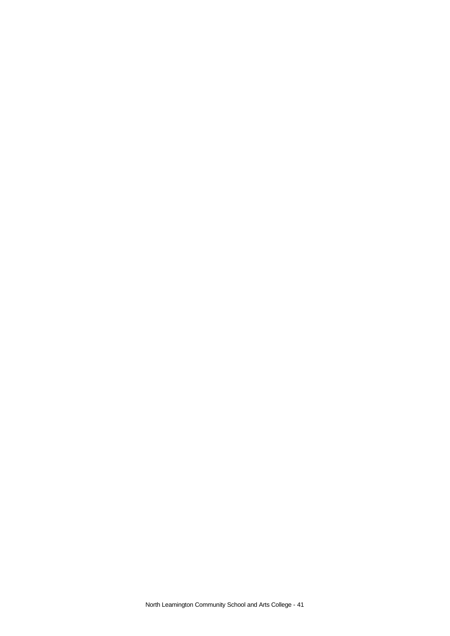North Leamington Community School and Arts College - 41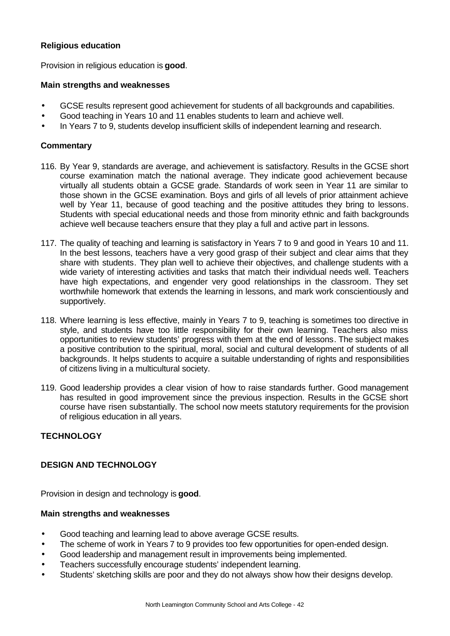# **Religious education**

Provision in religious education is **good**.

# **Main strengths and weaknesses**

- GCSE results represent good achievement for students of all backgrounds and capabilities.
- Good teaching in Years 10 and 11 enables students to learn and achieve well.
- In Years 7 to 9, students develop insufficient skills of independent learning and research.

# **Commentary**

- 116. By Year 9, standards are average, and achievement is satisfactory. Results in the GCSE short course examination match the national average. They indicate good achievement because virtually all students obtain a GCSE grade. Standards of work seen in Year 11 are similar to those shown in the GCSE examination. Boys and girls of all levels of prior attainment achieve well by Year 11, because of good teaching and the positive attitudes they bring to lessons. Students with special educational needs and those from minority ethnic and faith backgrounds achieve well because teachers ensure that they play a full and active part in lessons.
- 117. The quality of teaching and learning is satisfactory in Years 7 to 9 and good in Years 10 and 11. In the best lessons, teachers have a very good grasp of their subject and clear aims that they share with students. They plan well to achieve their objectives, and challenge students with a wide variety of interesting activities and tasks that match their individual needs well. Teachers have high expectations, and engender very good relationships in the classroom. They set worthwhile homework that extends the learning in lessons, and mark work conscientiously and supportively.
- 118. Where learning is less effective, mainly in Years 7 to 9, teaching is sometimes too directive in style, and students have too little responsibility for their own learning. Teachers also miss opportunities to review students' progress with them at the end of lessons. The subject makes a positive contribution to the spiritual, moral, social and cultural development of students of all backgrounds. It helps students to acquire a suitable understanding of rights and responsibilities of citizens living in a multicultural society.
- 119. Good leadership provides a clear vision of how to raise standards further. Good management has resulted in good improvement since the previous inspection. Results in the GCSE short course have risen substantially. The school now meets statutory requirements for the provision of religious education in all years.

# **TECHNOLOGY**

# **DESIGN AND TECHNOLOGY**

Provision in design and technology is **good**.

# **Main strengths and weaknesses**

- Good teaching and learning lead to above average GCSE results.
- The scheme of work in Years 7 to 9 provides too few opportunities for open-ended design.
- Good leadership and management result in improvements being implemented.
- Teachers successfully encourage students' independent learning.
- Students' sketching skills are poor and they do not always show how their designs develop.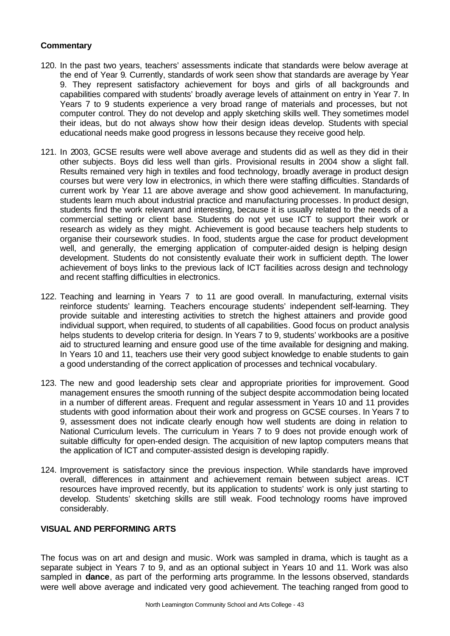# **Commentary**

- 120. In the past two years, teachers' assessments indicate that standards were below average at the end of Year 9. Currently, standards of work seen show that standards are average by Year 9. They represent satisfactory achievement for boys and girls of all backgrounds and capabilities compared with students' broadly average levels of attainment on entry in Year 7. In Years 7 to 9 students experience a very broad range of materials and processes, but not computer control. They do not develop and apply sketching skills well. They sometimes model their ideas, but do not always show how their design ideas develop. Students with special educational needs make good progress in lessons because they receive good help.
- 121. In 2003, GCSE results were well above average and students did as well as they did in their other subjects. Boys did less well than girls. Provisional results in 2004 show a slight fall. Results remained very high in textiles and food technology, broadly average in product design courses but were very low in electronics, in which there were staffing difficulties. Standards of current work by Year 11 are above average and show good achievement. In manufacturing, students learn much about industrial practice and manufacturing processes. In product design, students find the work relevant and interesting, because it is usually related to the needs of a commercial setting or client base. Students do not yet use ICT to support their work or research as widely as they might. Achievement is good because teachers help students to organise their coursework studies. In food, students argue the case for product development well, and generally, the emerging application of computer-aided design is helping design development. Students do not consistently evaluate their work in sufficient depth. The lower achievement of boys links to the previous lack of ICT facilities across design and technology and recent staffing difficulties in electronics.
- 122. Teaching and learning in Years 7 to 11 are good overall. In manufacturing, external visits reinforce students' learning. Teachers encourage students' independent self-learning. They provide suitable and interesting activities to stretch the highest attainers and provide good individual support, when required, to students of all capabilities. Good focus on product analysis helps students to develop criteria for design. In Years 7 to 9, students' workbooks are a positive aid to structured learning and ensure good use of the time available for designing and making. In Years 10 and 11, teachers use their very good subject knowledge to enable students to gain a good understanding of the correct application of processes and technical vocabulary.
- 123. The new and good leadership sets clear and appropriate priorities for improvement. Good management ensures the smooth running of the subject despite accommodation being located in a number of different areas. Frequent and regular assessment in Years 10 and 11 provides students with good information about their work and progress on GCSE courses. In Years 7 to 9, assessment does not indicate clearly enough how well students are doing in relation to National Curriculum levels. The curriculum in Years 7 to 9 does not provide enough work of suitable difficulty for open-ended design. The acquisition of new laptop computers means that the application of ICT and computer-assisted design is developing rapidly.
- 124. Improvement is satisfactory since the previous inspection. While standards have improved overall, differences in attainment and achievement remain between subject areas. ICT resources have improved recently, but its application to students' work is only just starting to develop. Students' sketching skills are still weak. Food technology rooms have improved considerably.

# **VISUAL AND PERFORMING ARTS**

The focus was on art and design and music. Work was sampled in drama, which is taught as a separate subject in Years 7 to 9, and as an optional subject in Years 10 and 11. Work was also sampled in **dance**, as part of the performing arts programme. In the lessons observed, standards were well above average and indicated very good achievement. The teaching ranged from good to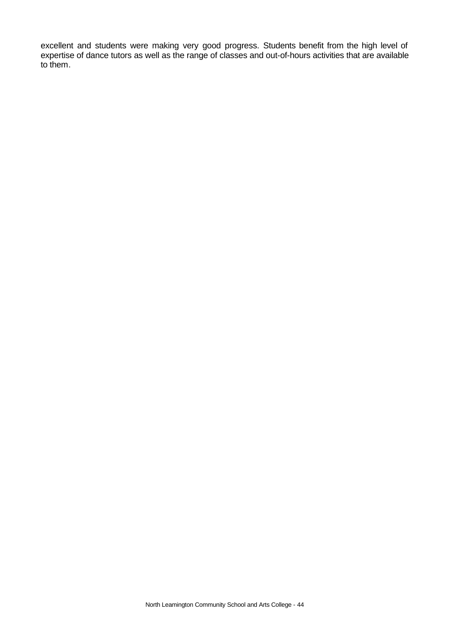excellent and students were making very good progress. Students benefit from the high level of expertise of dance tutors as well as the range of classes and out-of-hours activities that are available to them.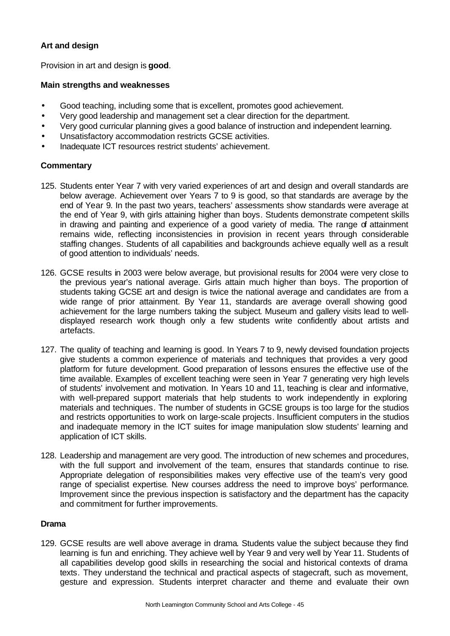# **Art and design**

Provision in art and design is **good**.

# **Main strengths and weaknesses**

- Good teaching, including some that is excellent, promotes good achievement.
- Very good leadership and management set a clear direction for the department.
- Very good curricular planning gives a good balance of instruction and independent learning.
- Unsatisfactory accommodation restricts GCSE activities.
- Inadequate ICT resources restrict students' achievement.

# **Commentary**

- 125. Students enter Year 7 with very varied experiences of art and design and overall standards are below average. Achievement over Years 7 to 9 is good, so that standards are average by the end of Year 9. In the past two years, teachers' assessments show standards were average at the end of Year 9, with girls attaining higher than boys. Students demonstrate competent skills in drawing and painting and experience of a good variety of media. The range of attainment remains wide, reflecting inconsistencies in provision in recent years through considerable staffing changes. Students of all capabilities and backgrounds achieve equally well as a result of good attention to individuals' needs.
- 126. GCSE results in 2003 were below average, but provisional results for 2004 were very close to the previous year's national average. Girls attain much higher than boys. The proportion of students taking GCSE art and design is twice the national average and candidates are from a wide range of prior attainment. By Year 11, standards are average overall showing good achievement for the large numbers taking the subject. Museum and gallery visits lead to welldisplayed research work though only a few students write confidently about artists and artefacts.
- 127. The quality of teaching and learning is good. In Years 7 to 9, newly devised foundation projects give students a common experience of materials and techniques that provides a very good platform for future development. Good preparation of lessons ensures the effective use of the time available. Examples of excellent teaching were seen in Year 7 generating very high levels of students' involvement and motivation. In Years 10 and 11, teaching is clear and informative, with well-prepared support materials that help students to work independently in exploring materials and techniques. The number of students in GCSE groups is too large for the studios and restricts opportunities to work on large-scale projects. Insufficient computers in the studios and inadequate memory in the ICT suites for image manipulation slow students' learning and application of ICT skills.
- 128. Leadership and management are very good. The introduction of new schemes and procedures, with the full support and involvement of the team, ensures that standards continue to rise. Appropriate delegation of responsibilities makes very effective use of the team's very good range of specialist expertise. New courses address the need to improve boys' performance. Improvement since the previous inspection is satisfactory and the department has the capacity and commitment for further improvements.

# **Drama**

129. GCSE results are well above average in drama. Students value the subject because they find learning is fun and enriching. They achieve well by Year 9 and very well by Year 11. Students of all capabilities develop good skills in researching the social and historical contexts of drama texts. They understand the technical and practical aspects of stagecraft, such as movement, gesture and expression. Students interpret character and theme and evaluate their own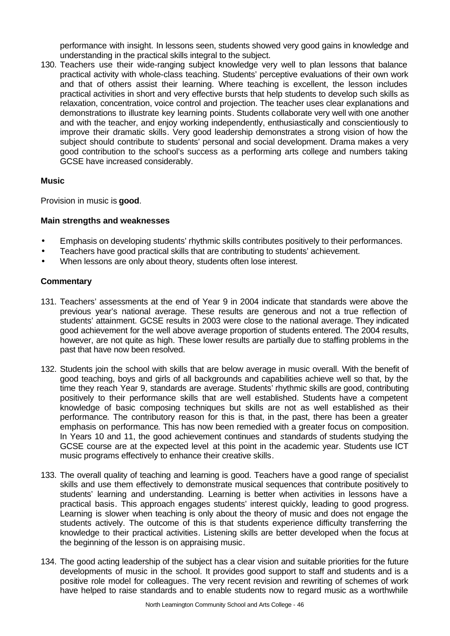performance with insight. In lessons seen, students showed very good gains in knowledge and understanding in the practical skills integral to the subject.

130. Teachers use their wide-ranging subject knowledge very well to plan lessons that balance practical activity with whole-class teaching. Students' perceptive evaluations of their own work and that of others assist their learning. Where teaching is excellent, the lesson includes practical activities in short and very effective bursts that help students to develop such skills as relaxation, concentration, voice control and projection. The teacher uses clear explanations and demonstrations to illustrate key learning points. Students collaborate very well with one another and with the teacher, and enjoy working independently, enthusiastically and conscientiously to improve their dramatic skills. Very good leadership demonstrates a strong vision of how the subject should contribute to students' personal and social development. Drama makes a very good contribution to the school's success as a performing arts college and numbers taking GCSE have increased considerably.

#### **Music**

Provision in music is **good**.

#### **Main strengths and weaknesses**

- Emphasis on developing students' rhythmic skills contributes positively to their performances.
- Teachers have good practical skills that are contributing to students' achievement.
- When lessons are only about theory, students often lose interest.

- 131. Teachers' assessments at the end of Year 9 in 2004 indicate that standards were above the previous year's national average. These results are generous and not a true reflection of students' attainment. GCSE results in 2003 were close to the national average. They indicated good achievement for the well above average proportion of students entered. The 2004 results, however, are not quite as high. These lower results are partially due to staffing problems in the past that have now been resolved.
- 132. Students join the school with skills that are below average in music overall. With the benefit of good teaching, boys and girls of all backgrounds and capabilities achieve well so that, by the time they reach Year 9, standards are average. Students' rhythmic skills are good, contributing positively to their performance skills that are well established. Students have a competent knowledge of basic composing techniques but skills are not as well established as their performance. The contributory reason for this is that, in the past, there has been a greater emphasis on performance. This has now been remedied with a greater focus on composition. In Years 10 and 11, the good achievement continues and *s*tandards of students studying the GCSE course are at the expected level at this point in the academic year. Students use ICT music programs effectively to enhance their creative skills.
- 133. The overall quality of teaching and learning is good. Teachers have a good range of specialist skills and use them effectively to demonstrate musical sequences that contribute positively to students' learning and understanding. Learning is better when activities in lessons have a practical basis. This approach engages students' interest quickly, leading to good progress. Learning is slower when teaching is only about the theory of music and does not engage the students actively. The outcome of this is that students experience difficulty transferring the knowledge to their practical activities. Listening skills are better developed when the focus at the beginning of the lesson is on appraising music.
- 134. The good acting leadership of the subject has a clear vision and suitable priorities for the future developments of music in the school. It provides good support to staff and students and is a positive role model for colleagues. The very recent revision and rewriting of schemes of work have helped to raise standards and to enable students now to regard music as a worthwhile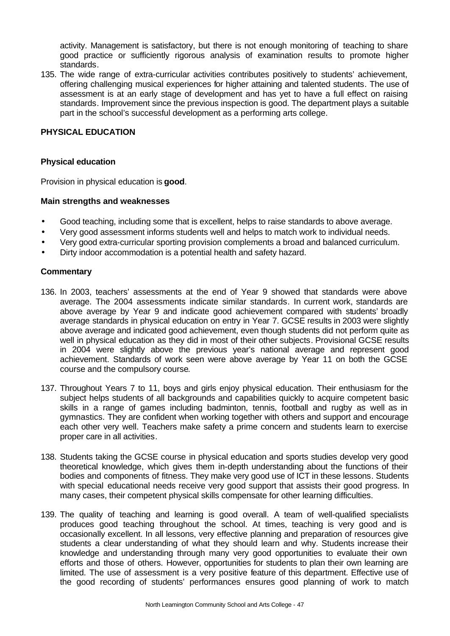activity. Management is satisfactory, but there is not enough monitoring of teaching to share good practice or sufficiently rigorous analysis of examination results to promote higher standards.

135. The wide range of extra-curricular activities contributes positively to students' achievement, offering challenging musical experiences for higher attaining and talented students. The use of assessment is at an early stage of development and has yet to have a full effect on raising standards. Improvement since the previous inspection is good. The department plays a suitable part in the school's successful development as a performing arts college.

#### **PHYSICAL EDUCATION**

#### **Physical education**

Provision in physical education is **good**.

#### **Main strengths and weaknesses**

- Good teaching, including some that is excellent, helps to raise standards to above average.
- Very good assessment informs students well and helps to match work to individual needs.
- Very good extra-curricular sporting provision complements a broad and balanced curriculum.
- Dirty indoor accommodation is a potential health and safety hazard.

- 136. In 2003, teachers' assessments at the end of Year 9 showed that standards were above average. The 2004 assessments indicate similar standards. In current work, standards are above average by Year 9 and indicate good achievement compared with students' broadly average standards in physical education on entry in Year 7. GCSE results in 2003 were slightly above average and indicated good achievement, even though students did not perform quite as well in physical education as they did in most of their other subjects. Provisional GCSE results in 2004 were slightly above the previous year's national average and represent good achievement. Standards of work seen were above average by Year 11 on both the GCSE course and the compulsory course.
- 137. Throughout Years 7 to 11, boys and girls enjoy physical education. Their enthusiasm for the subject helps students of all backgrounds and capabilities quickly to acquire competent basic skills in a range of games including badminton, tennis, football and rugby as well as in gymnastics. They are confident when working together with others and support and encourage each other very well. Teachers make safety a prime concern and students learn to exercise proper care in all activities.
- 138. Students taking the GCSE course in physical education and sports studies develop very good theoretical knowledge, which gives them in-depth understanding about the functions of their bodies and components of fitness. They make very good use of ICT in these lessons. Students with special educational needs receive very good support that assists their good progress. In many cases, their competent physical skills compensate for other learning difficulties.
- 139. The quality of teaching and learning is good overall. A team of well-qualified specialists produces good teaching throughout the school. At times, teaching is very good and is occasionally excellent. In all lessons, very effective planning and preparation of resources give students a clear understanding of what they should learn and why. Students increase their knowledge and understanding through many very good opportunities to evaluate their own efforts and those of others. However, opportunities for students to plan their own learning are limited. The use of assessment is a very positive feature of this department. Effective use of the good recording of students' performances ensures good planning of work to match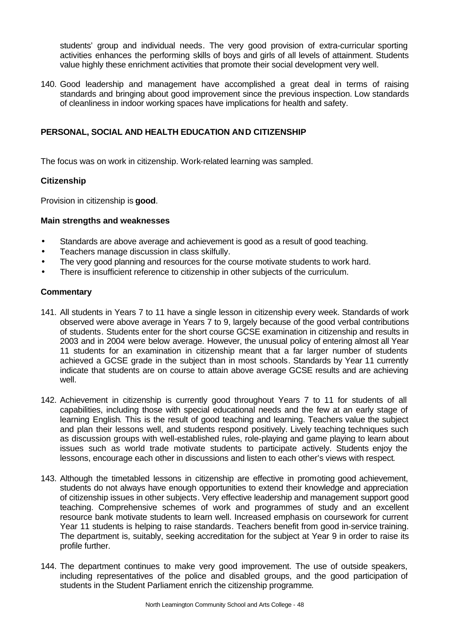students' group and individual needs. The very good provision of extra-curricular sporting activities enhances the performing skills of boys and girls of all levels of attainment. Students value highly these enrichment activities that promote their social development very well.

140. Good leadership and management have accomplished a great deal in terms of raising standards and bringing about good improvement since the previous inspection. Low standards of cleanliness in indoor working spaces have implications for health and safety.

# **PERSONAL, SOCIAL AND HEALTH EDUCATION AND CITIZENSHIP**

The focus was on work in citizenship. Work-related learning was sampled.

# **Citizenship**

Provision in citizenship is **good**.

#### **Main strengths and weaknesses**

- Standards are above average and achievement is good as a result of good teaching.
- Teachers manage discussion in class skilfully.
- The very good planning and resources for the course motivate students to work hard.
- There is insufficient reference to citizenship in other subjects of the curriculum.

- 141. All students in Years 7 to 11 have a single lesson in citizenship every week. Standards of work observed were above average in Years 7 to 9, largely because of the good verbal contributions of students. Students enter for the short course GCSE examination in citizenship and results in 2003 and in 2004 were below average. However, the unusual policy of entering almost all Year 11 students for an examination in citizenship meant that a far larger number of students achieved a GCSE grade in the subject than in most schools. Standards by Year 11 currently indicate that students are on course to attain above average GCSE results and are achieving well.
- 142. Achievement in citizenship is currently good throughout Years 7 to 11 for students of all capabilities, including those with special educational needs and the few at an early stage of learning English. This is the result of good teaching and learning. Teachers value the subject and plan their lessons well, and students respond positively. Lively teaching techniques such as discussion groups with well-established rules, role-playing and game playing to learn about issues such as world trade motivate students to participate actively. Students enjoy the lessons, encourage each other in discussions and listen to each other's views with respect.
- 143. Although the timetabled lessons in citizenship are effective in promoting good achievement, students do not always have enough opportunities to extend their knowledge and appreciation of citizenship issues in other subjects. Very effective leadership and management support good teaching. Comprehensive schemes of work and programmes of study and an excellent resource bank motivate students to learn well. Increased emphasis on coursework for current Year 11 students is helping to raise standards. Teachers benefit from good in-service training. The department is, suitably, seeking accreditation for the subject at Year 9 in order to raise its profile further.
- 144. The department continues to make very good improvement. The use of outside speakers, including representatives of the police and disabled groups, and the good participation of students in the Student Parliament enrich the citizenship programme.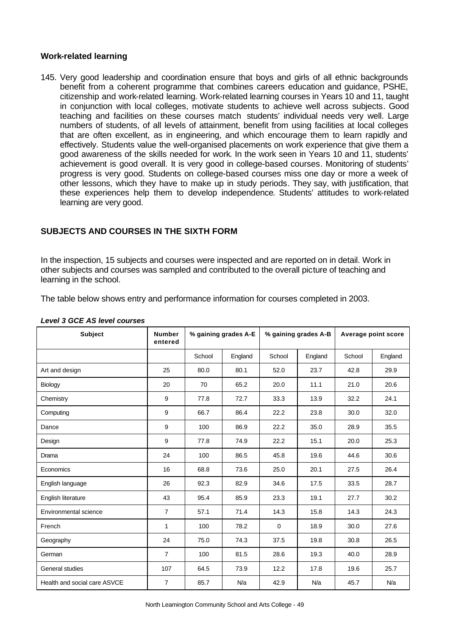#### **Work-related learning**

145. Very good leadership and coordination ensure that boys and girls of all ethnic backgrounds benefit from a coherent programme that combines careers education and guidance, PSHE, citizenship and work-related learning. Work-related learning courses in Years 10 and 11, taught in conjunction with local colleges, motivate students to achieve well across subjects. Good teaching and facilities on these courses match students' individual needs very well. Large numbers of students, of all levels of attainment, benefit from using facilities at local colleges that are often excellent, as in engineering, and which encourage them to learn rapidly and effectively. Students value the well-organised placements on work experience that give them a good awareness of the skills needed for work. In the work seen in Years 10 and 11, students' achievement is good overall. It is very good in college-based courses. Monitoring of students' progress is very good. Students on college-based courses miss one day or more a week of other lessons, which they have to make up in study periods. They say, with justification, that these experiences help them to develop independence. Students' attitudes to work-related learning are very good.

# **SUBJECTS AND COURSES IN THE SIXTH FORM**

In the inspection, 15 subjects and courses were inspected and are reported on in detail. Work in other subjects and courses was sampled and contributed to the overall picture of teaching and learning in the school.

The table below shows entry and performance information for courses completed in 2003.

| <b>Subject</b>               | <b>Number</b><br>entered | % gaining grades A-E |         | % gaining grades A-B |         | Average point score |         |
|------------------------------|--------------------------|----------------------|---------|----------------------|---------|---------------------|---------|
|                              |                          | School               | England | School               | England | School              | England |
| Art and design               | 25                       | 80.0                 | 80.1    | 52.0                 | 23.7    | 42.8                | 29.9    |
| Biology                      | 20                       | 70                   | 65.2    | 20.0                 | 11.1    | 21.0                | 20.6    |
| Chemistry                    | 9                        | 77.8                 | 72.7    | 33.3                 | 13.9    | 32.2                | 24.1    |
| Computing                    | 9                        | 66.7                 | 86.4    | 22.2                 | 23.8    | 30.0                | 32.0    |
| Dance                        | 9                        | 100                  | 86.9    | 22.2                 | 35.0    | 28.9                | 35.5    |
| Design                       | 9                        | 77.8                 | 74.9    | 22.2                 | 15.1    | 20.0                | 25.3    |
| Drama                        | 24                       | 100                  | 86.5    | 45.8                 | 19.6    | 44.6                | 30.6    |
| Economics                    | 16                       | 68.8                 | 73.6    | 25.0                 | 20.1    | 27.5                | 26.4    |
| English language             | 26                       | 92.3                 | 82.9    | 34.6                 | 17.5    | 33.5                | 28.7    |
| English literature           | 43                       | 95.4                 | 85.9    | 23.3                 | 19.1    | 27.7                | 30.2    |
| Environmental science        | $\overline{7}$           | 57.1                 | 71.4    | 14.3                 | 15.8    | 14.3                | 24.3    |
| French                       | $\mathbf{1}$             | 100                  | 78.2    | $\mathbf 0$          | 18.9    | 30.0                | 27.6    |
| Geography                    | 24                       | 75.0                 | 74.3    | 37.5                 | 19.8    | 30.8                | 26.5    |
| German                       | $\overline{7}$           | 100                  | 81.5    | 28.6                 | 19.3    | 40.0                | 28.9    |
| General studies              | 107                      | 64.5                 | 73.9    | 12.2                 | 17.8    | 19.6                | 25.7    |
| Health and social care ASVCE | $\overline{7}$           | 85.7                 | N/a     | 42.9                 | N/a     | 45.7                | N/a     |

*Level 3 GCE AS level courses*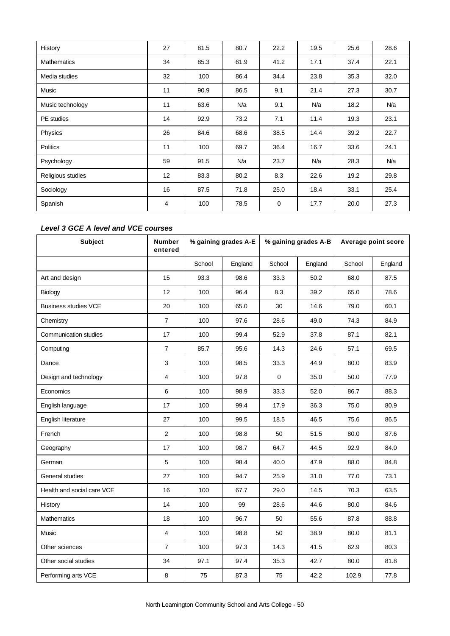| History            | 27 | 81.5 | 80.7 | 22.2        | 19.5 | 25.6 | 28.6 |
|--------------------|----|------|------|-------------|------|------|------|
| <b>Mathematics</b> | 34 | 85.3 | 61.9 | 41.2        | 17.1 | 37.4 | 22.1 |
| Media studies      | 32 | 100  | 86.4 | 34.4        | 23.8 | 35.3 | 32.0 |
| Music              | 11 | 90.9 | 86.5 | 9.1         | 21.4 | 27.3 | 30.7 |
| Music technology   | 11 | 63.6 | N/a  | 9.1         | N/a  | 18.2 | N/a  |
| PE studies         | 14 | 92.9 | 73.2 | 7.1         | 11.4 | 19.3 | 23.1 |
| Physics            | 26 | 84.6 | 68.6 | 38.5        | 14.4 | 39.2 | 22.7 |
| Politics           | 11 | 100  | 69.7 | 36.4        | 16.7 | 33.6 | 24.1 |
| Psychology         | 59 | 91.5 | N/a  | 23.7        | N/a  | 28.3 | N/a  |
| Religious studies  | 12 | 83.3 | 80.2 | 8.3         | 22.6 | 19.2 | 29.8 |
| Sociology          | 16 | 87.5 | 71.8 | 25.0        | 18.4 | 33.1 | 25.4 |
| Spanish            | 4  | 100  | 78.5 | $\mathbf 0$ | 17.7 | 20.0 | 27.3 |

# *Level 3 GCE A level and VCE courses*

| <b>Subject</b>               | <b>Number</b><br>entered | % gaining grades A-E |         | % gaining grades A-B |         | Average point score |         |
|------------------------------|--------------------------|----------------------|---------|----------------------|---------|---------------------|---------|
|                              |                          | School               | England | School               | England | School              | England |
| Art and design               | 15                       | 93.3                 | 98.6    | 33.3                 | 50.2    | 68.0                | 87.5    |
| Biology                      | 12                       | 100                  | 96.4    | 8.3                  | 39.2    | 65.0                | 78.6    |
| <b>Business studies VCE</b>  | 20                       | 100                  | 65.0    | 30                   | 14.6    | 79.0                | 60.1    |
| Chemistry                    | $\overline{7}$           | 100                  | 97.6    | 28.6                 | 49.0    | 74.3                | 84.9    |
| <b>Communication studies</b> | 17                       | 100                  | 99.4    | 52.9                 | 37.8    | 87.1                | 82.1    |
| Computing                    | $\overline{7}$           | 85.7                 | 95.6    | 14.3                 | 24.6    | 57.1                | 69.5    |
| Dance                        | 3                        | 100                  | 98.5    | 33.3                 | 44.9    | 80.0                | 83.9    |
| Design and technology        | $\overline{4}$           | 100                  | 97.8    | $\Omega$             | 35.0    | 50.0                | 77.9    |
| Economics                    | 6                        | 100                  | 98.9    | 33.3                 | 52.0    | 86.7                | 88.3    |
| English language             | 17                       | 100                  | 99.4    | 17.9                 | 36.3    | 75.0                | 80.9    |
| English literature           | 27                       | 100                  | 99.5    | 18.5                 | 46.5    | 75.6                | 86.5    |
| French                       | $\overline{c}$           | 100                  | 98.8    | 50                   | 51.5    | 80.0                | 87.6    |
| Geography                    | 17                       | 100                  | 98.7    | 64.7                 | 44.5    | 92.9                | 84.0    |
| German                       | 5                        | 100                  | 98.4    | 40.0                 | 47.9    | 88.0                | 84.8    |
| General studies              | 27                       | 100                  | 94.7    | 25.9                 | 31.0    | 77.0                | 73.1    |
| Health and social care VCE   | 16                       | 100                  | 67.7    | 29.0                 | 14.5    | 70.3                | 63.5    |
| History                      | 14                       | 100                  | 99      | 28.6                 | 44.6    | 80.0                | 84.6    |
| Mathematics                  | 18                       | 100                  | 96.7    | 50                   | 55.6    | 87.8                | 88.8    |
| Music                        | 4                        | 100                  | 98.8    | 50                   | 38.9    | 80.0                | 81.1    |
| Other sciences               | $\overline{7}$           | 100                  | 97.3    | 14.3                 | 41.5    | 62.9                | 80.3    |
| Other social studies         | 34                       | 97.1                 | 97.4    | 35.3                 | 42.7    | 80.0                | 81.8    |
| Performing arts VCE          | 8                        | 75                   | 87.3    | 75                   | 42.2    | 102.9               | 77.8    |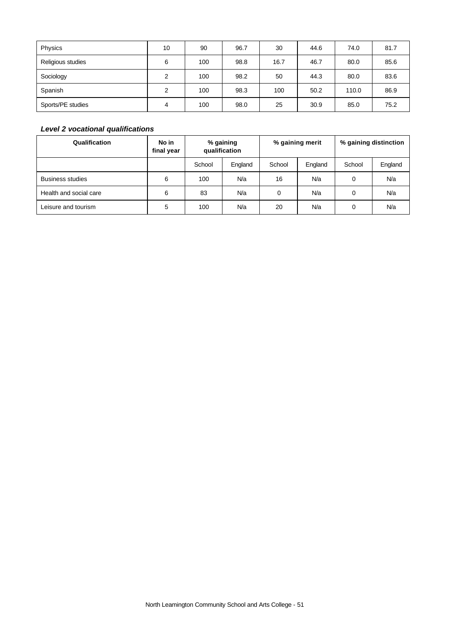| Physics           | 10 | 90  | 96.7 | 30   | 44.6 | 74.0  | 81.7 |
|-------------------|----|-----|------|------|------|-------|------|
| Religious studies | 6  | 100 | 98.8 | 16.7 | 46.7 | 80.0  | 85.6 |
| Sociology         | 2  | 100 | 98.2 | 50   | 44.3 | 80.0  | 83.6 |
| Spanish           | 2  | 100 | 98.3 | 100  | 50.2 | 110.0 | 86.9 |
| Sports/PE studies | 4  | 100 | 98.0 | 25   | 30.9 | 85.0  | 75.2 |

#### *Level 2 vocational qualifications*

| Qualification           | No in<br>final year | % gaining<br>qualification |         | % gaining merit |         | % gaining distinction |         |
|-------------------------|---------------------|----------------------------|---------|-----------------|---------|-----------------------|---------|
|                         |                     | School                     | England | School          | England | School                | England |
| <b>Business studies</b> | 6                   | 100                        | N/a     | 16              | N/a     | 0                     | N/a     |
| Health and social care  | 6                   | 83                         | N/a     | 0               | N/a     | 0                     | N/a     |
| Leisure and tourism     | 5                   | 100                        | N/a     | 20              | N/a     | 0                     | N/a     |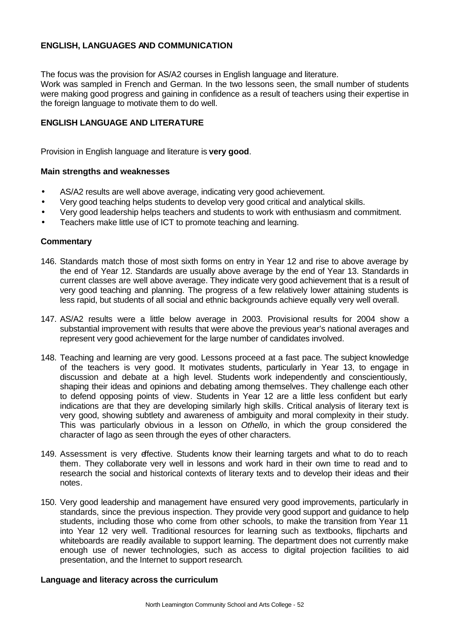# **ENGLISH, LANGUAGES AND COMMUNICATION**

The focus was the provision for AS/A2 courses in English language and literature.

Work was sampled in French and German. In the two lessons seen, the small number of students were making good progress and gaining in confidence as a result of teachers using their expertise in the foreign language to motivate them to do well.

# **ENGLISH LANGUAGE AND LITERATURE**

Provision in English language and literature is **very good**.

#### **Main strengths and weaknesses**

- AS/A2 results are well above average, indicating very good achievement.
- Very good teaching helps students to develop very good critical and analytical skills.
- Very good leadership helps teachers and students to work with enthusiasm and commitment.
- Teachers make little use of ICT to promote teaching and learning.

#### **Commentary**

- 146. Standards match those of most sixth forms on entry in Year 12 and rise to above average by the end of Year 12. Standards are usually above average by the end of Year 13. Standards in current classes are well above average. They indicate very good achievement that is a result of very good teaching and planning. The progress of a few relatively lower attaining students is less rapid, but students of all social and ethnic backgrounds achieve equally very well overall.
- 147. AS/A2 results were a little below average in 2003. Provisional results for 2004 show a substantial improvement with results that were above the previous year's national averages and represent very good achievement for the large number of candidates involved.
- 148. Teaching and learning are very good. Lessons proceed at a fast pace. The subject knowledge of the teachers is very good. It motivates students, particularly in Year 13, to engage in discussion and debate at a high level. Students work independently and conscientiously, shaping their ideas and opinions and debating among themselves. They challenge each other to defend opposing points of view. Students in Year 12 are a little less confident but early indications are that they are developing similarly high skills. Critical analysis of literary text is very good, showing subtlety and awareness of ambiguity and moral complexity in their study. This was particularly obvious in a lesson on *Othello*, in which the group considered the character of Iago as seen through the eyes of other characters.
- 149. Assessment is very effective. Students know their learning targets and what to do to reach them. They collaborate very well in lessons and work hard in their own time to read and to research the social and historical contexts of literary texts and to develop their ideas and their notes.
- 150. Very good leadership and management have ensured very good improvements, particularly in standards, since the previous inspection. They provide very good support and guidance to help students, including those who come from other schools, to make the transition from Year 11 into Year 12 very well. Traditional resources for learning such as textbooks, flipcharts and whiteboards are readily available to support learning. The department does not currently make enough use of newer technologies, such as access to digital projection facilities to aid presentation, and the Internet to support research.

#### **Language and literacy across the curriculum**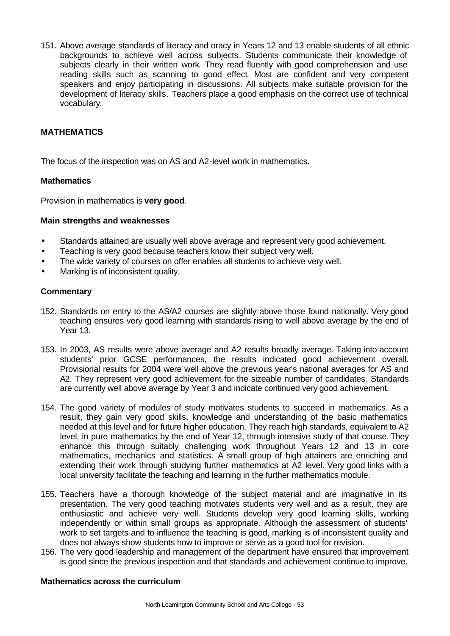151. Above average standards of literacy and oracy in Years 12 and 13 enable students of all ethnic backgrounds to achieve well across subjects. Students communicate their knowledge of subjects clearly in their written work. They read fluently with good comprehension and use reading skills such as scanning to good effect. Most are confident and very competent speakers and enjoy participating in discussions. All subjects make suitable provision for the development of literacy skills. Teachers place a good emphasis on the correct use of technical vocabulary.

# **MATHEMATICS**

The focus of the inspection was on AS and A2-level work in mathematics.

#### **Mathematics**

Provision in mathematics is **very good**.

#### **Main strengths and weaknesses**

- Standards attained are usually well above average and represent very good achievement.
- Teaching is very good because teachers know their subject very well.
- The wide variety of courses on offer enables all students to achieve very well.
- Marking is of inconsistent quality.

#### **Commentary**

- 152. Standards on entry to the AS/A2 courses are slightly above those found nationally. Very good teaching ensures very good learning with standards rising to well above average by the end of Year 13.
- 153. In 2003, AS results were above average and A2 results broadly average. Taking into account students' prior GCSE performances, the results indicated good achievement overall. Provisional results for 2004 were well above the previous year's national averages for AS and A2. They represent very good achievement for the sizeable number of candidates. Standards are currently well above average by Year 3 and indicate continued very good achievement.
- 154. The good variety of modules of study motivates students to succeed in mathematics. As a result, they gain very good skills, knowledge and understanding of the basic mathematics needed at this level and for future higher education. They reach high standards, equivalent to A2 level, in pure mathematics by the end of Year 12, through intensive study of that course. They enhance this through suitably challenging work throughout Years 12 and 13 in core mathematics, mechanics and statistics. A small group of high attainers are enriching and extending their work through studying further mathematics at A2 level. Very good links with a local university facilitate the teaching and learning in the further mathematics module.
- 155. Teachers have a thorough knowledge of the subject material and are imaginative in its presentation. The very good teaching motivates students very well and as a result, they are enthusiastic and achieve very well. Students develop very good learning skills, working independently or within small groups as appropriate. Although the assessment of students' work to set targets and to influence the teaching is good, marking is of inconsistent quality and does not always show students how to improve or serve as a good tool for revision.
- 156. The very good leadership and management of the department have ensured that improvement is good since the previous inspection and that standards and achievement continue to improve.

#### **Mathematics across the curriculum**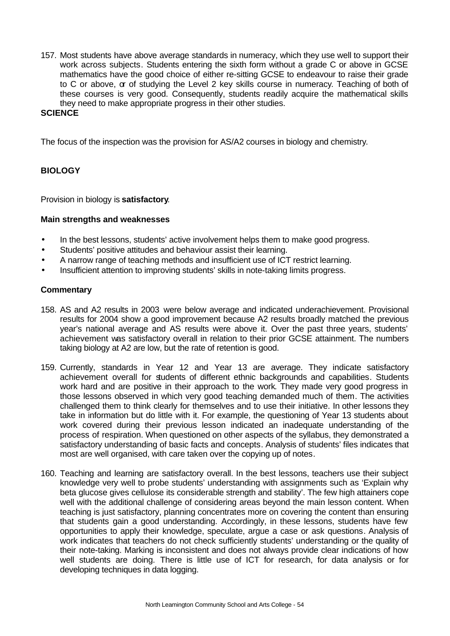157. Most students have above average standards in numeracy, which they use well to support their work across subjects. Students entering the sixth form without a grade C or above in GCSE mathematics have the good choice of either re-sitting GCSE to endeavour to raise their grade to C or above, or of studying the Level 2 key skills course in numeracy. Teaching of both of these courses is very good. Consequently, students readily acquire the mathematical skills they need to make appropriate progress in their other studies.

# **SCIENCE**

The focus of the inspection was the provision for AS/A2 courses in biology and chemistry.

# **BIOLOGY**

Provision in biology is **satisfactory**.

#### **Main strengths and weaknesses**

- In the best lessons, students' active involvement helps them to make good progress.
- Students' positive attitudes and behaviour assist their learning.
- A narrow range of teaching methods and insufficient use of ICT restrict learning.
- Insufficient attention to improving students' skills in note-taking limits progress.

- 158. AS and A2 results in 2003 were below average and indicated underachievement. Provisional results for 2004 show a good improvement because A2 results broadly matched the previous year's national average and AS results were above it. Over the past three years, students' achievement was satisfactory overall in relation to their prior GCSE attainment. The numbers taking biology at A2 are low, but the rate of retention is good.
- 159. Currently, standards in Year 12 and Year 13 are average. They indicate satisfactory achievement overall for students of different ethnic backgrounds and capabilities. Students work hard and are positive in their approach to the work. They made very good progress in those lessons observed in which very good teaching demanded much of them. The activities challenged them to think clearly for themselves and to use their initiative. In other lessons they take in information but do little with it. For example, the questioning of Year 13 students about work covered during their previous lesson indicated an inadequate understanding of the process of respiration. When questioned on other aspects of the syllabus, they demonstrated a satisfactory understanding of basic facts and concepts. Analysis of students' files indicates that most are well organised, with care taken over the copying up of notes.
- 160. Teaching and learning are satisfactory overall. In the best lessons, teachers use their subject knowledge very well to probe students' understanding with assignments such as 'Explain why beta glucose gives cellulose its considerable strength and stability'. The few high attainers cope well with the additional challenge of considering areas beyond the main lesson content. When teaching is just satisfactory, planning concentrates more on covering the content than ensuring that students gain a good understanding. Accordingly, in these lessons, students have few opportunities to apply their knowledge, speculate, argue a case or ask questions. Analysis of work indicates that teachers do not check sufficiently students' understanding or the quality of their note-taking. Marking is inconsistent and does not always provide clear indications of how well students are doing. There is little use of ICT for research, for data analysis or for developing techniques in data logging.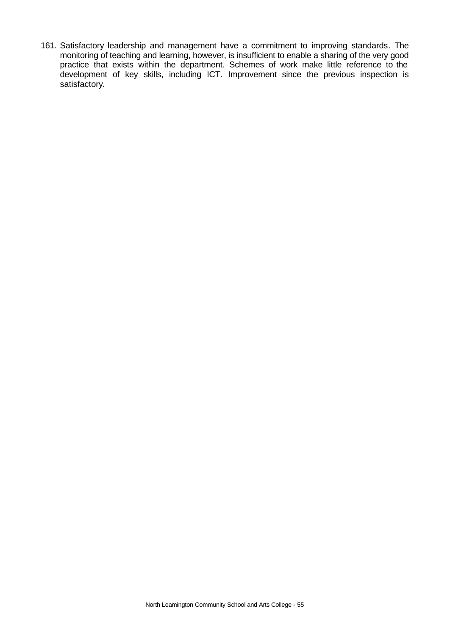161. Satisfactory leadership and management have a commitment to improving standards. The monitoring of teaching and learning, however, is insufficient to enable a sharing of the very good practice that exists within the department. Schemes of work make little reference to the development of key skills, including ICT. Improvement since the previous inspection is satisfactory.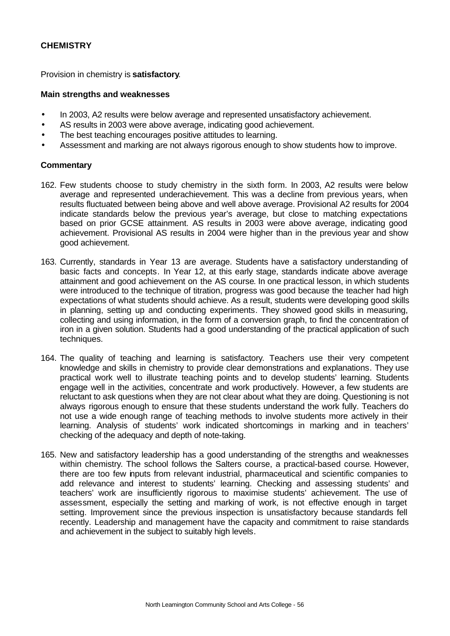# **CHEMISTRY**

Provision in chemistry is **satisfactory**.

#### **Main strengths and weaknesses**

- In 2003, A2 results were below average and represented unsatisfactory achievement.
- AS results in 2003 were above average, indicating good achievement.
- The best teaching encourages positive attitudes to learning.
- Assessment and marking are not always rigorous enough to show students how to improve.

- 162. Few students choose to study chemistry in the sixth form. In 2003, A2 results were below average and represented underachievement. This was a decline from previous years, when results fluctuated between being above and well above average. Provisional A2 results for 2004 indicate standards below the previous year's average, but close to matching expectations based on prior GCSE attainment. AS results in 2003 were above average, indicating good achievement. Provisional AS results in 2004 were higher than in the previous year and show good achievement.
- 163. Currently, standards in Year 13 are average. Students have a satisfactory understanding of basic facts and concepts. In Year 12, at this early stage, standards indicate above average attainment and good achievement on the AS course. In one practical lesson, in which students were introduced to the technique of titration, progress was good because the teacher had high expectations of what students should achieve. As a result, students were developing good skills in planning, setting up and conducting experiments. They showed good skills in measuring, collecting and using information, in the form of a conversion graph, to find the concentration of iron in a given solution. Students had a good understanding of the practical application of such techniques.
- 164. The quality of teaching and learning is satisfactory. Teachers use their very competent knowledge and skills in chemistry to provide clear demonstrations and explanations. They use practical work well to illustrate teaching points and to develop students' learning. Students engage well in the activities, concentrate and work productively. However, a few students are reluctant to ask questions when they are not clear about what they are doing. Questioning is not always rigorous enough to ensure that these students understand the work fully. Teachers do not use a wide enough range of teaching methods to involve students more actively in their learning. Analysis of students' work indicated shortcomings in marking and in teachers' checking of the adequacy and depth of note-taking.
- 165. New and satisfactory leadership has a good understanding of the strengths and weaknesses within chemistry. The school follows the Salters course, a practical-based course. However, there are too few inputs from relevant industrial, pharmaceutical and scientific companies to add relevance and interest to students' learning. Checking and assessing students' and teachers' work are insufficiently rigorous to maximise students' achievement. The use of assessment, especially the setting and marking of work, is not effective enough in target setting. Improvement since the previous inspection is unsatisfactory because standards fell recently. Leadership and management have the capacity and commitment to raise standards and achievement in the subject to suitably high levels.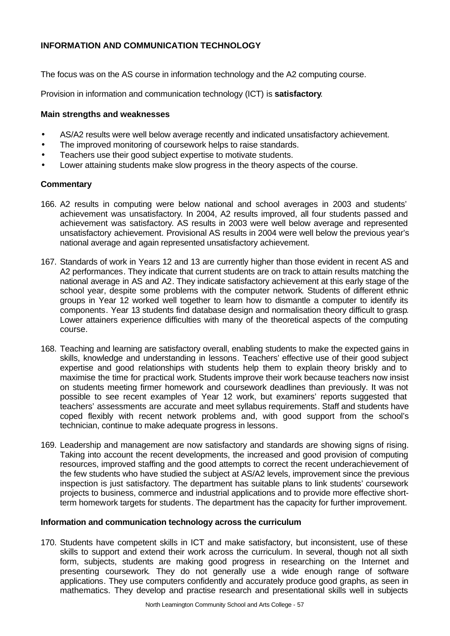# **INFORMATION AND COMMUNICATION TECHNOLOGY**

The focus was on the AS course in information technology and the A2 computing course.

Provision in information and communication technology (ICT) is **satisfactory**.

#### **Main strengths and weaknesses**

- AS/A2 results were well below average recently and indicated unsatisfactory achievement.
- The improved monitoring of coursework helps to raise standards.
- Teachers use their good subject expertise to motivate students.
- Lower attaining students make slow progress in the theory aspects of the course.

#### **Commentary**

- 166. A2 results in computing were below national and school averages in 2003 and students' achievement was unsatisfactory. In 2004, A2 results improved, all four students passed and achievement was satisfactory. AS results in 2003 were well below average and represented unsatisfactory achievement. Provisional AS results in 2004 were well below the previous year's national average and again represented unsatisfactory achievement.
- 167. Standards of work in Years 12 and 13 are currently higher than those evident in recent AS and A2 performances. They indicate that current students are on track to attain results matching the national average in AS and A2. They indicate satisfactory achievement at this early stage of the school year, despite some problems with the computer network. Students of different ethnic groups in Year 12 worked well together to learn how to dismantle a computer to identify its components. Year 13 students find database design and normalisation theory difficult to grasp. Lower attainers experience difficulties with many of the theoretical aspects of the computing course.
- 168. Teaching and learning are satisfactory overall, enabling students to make the expected gains in skills, knowledge and understanding in lessons. Teachers' effective use of their good subject expertise and good relationships with students help them to explain theory briskly and to maximise the time for practical work. Students improve their work because teachers now insist on students meeting firmer homework and coursework deadlines than previously. It was not possible to see recent examples of Year 12 work, but examiners' reports suggested that teachers' assessments are accurate and meet syllabus requirements. Staff and students have coped flexibly with recent network problems and, with good support from the school's technician, continue to make adequate progress in lessons.
- 169. Leadership and management are now satisfactory and standards are showing signs of rising. Taking into account the recent developments, the increased and good provision of computing resources, improved staffing and the good attempts to correct the recent underachievement of the few students who have studied the subject at AS/A2 levels, improvement since the previous inspection is just satisfactory. The department has suitable plans to link students' coursework projects to business, commerce and industrial applications and to provide more effective shortterm homework targets for students. The department has the capacity for further improvement.

#### **Information and communication technology across the curriculum**

170. Students have competent skills in ICT and make satisfactory, but inconsistent, use of these skills to support and extend their work across the curriculum. In several, though not all sixth form, subjects, students are making good progress in researching on the Internet and presenting coursework. They do not generally use a wide enough range of software applications. They use computers confidently and accurately produce good graphs, as seen in mathematics. They develop and practise research and presentational skills well in subjects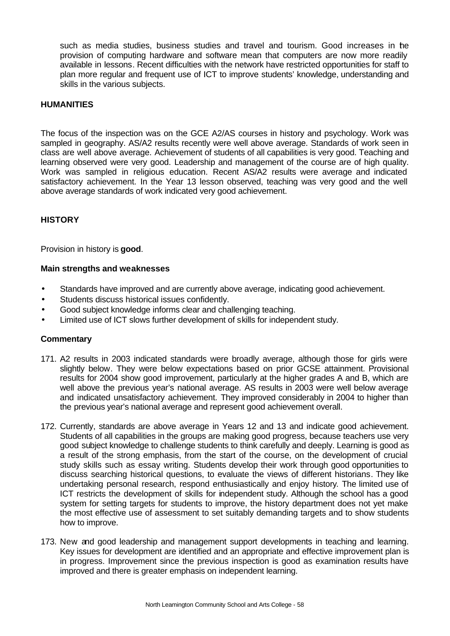such as media studies, business studies and travel and tourism. Good increases in the provision of computing hardware and software mean that computers are now more readily available in lessons. Recent difficulties with the network have restricted opportunities for staff to plan more regular and frequent use of ICT to improve students' knowledge, understanding and skills in the various subjects.

# **HUMANITIES**

The focus of the inspection was on the GCE A2/AS courses in history and psychology. Work was sampled in geography. AS/A2 results recently were well above average. Standards of work seen in class are well above average. Achievement of students of all capabilities is very good. Teaching and learning observed were very good. Leadership and management of the course are of high quality. Work was sampled in religious education. Recent AS/A2 results were average and indicated satisfactory achievement. In the Year 13 lesson observed, teaching was very good and the well above average standards of work indicated very good achievement.

#### **HISTORY**

Provision in history is **good**.

#### **Main strengths and weaknesses**

- Standards have improved and are currently above average, indicating good achievement.
- Students discuss historical issues confidently.
- Good subject knowledge informs clear and challenging teaching.
- Limited use of ICT slows further development of skills for independent study.

- 171. A2 results in 2003 indicated standards were broadly average, although those for girls were slightly below. They were below expectations based on prior GCSE attainment. Provisional results for 2004 show good improvement, particularly at the higher grades A and B, which are well above the previous year's national average. AS results in 2003 were well below average and indicated unsatisfactory achievement. They improved considerably in 2004 to higher than the previous year's national average and represent good achievement overall.
- 172. Currently, standards are above average in Years 12 and 13 and indicate good achievement. Students of all capabilities in the groups are making good progress, because teachers use very good subject knowledge to challenge students to think carefully and deeply. Learning is good as a result of the strong emphasis, from the start of the course, on the development of crucial study skills such as essay writing. Students develop their work through good opportunities to discuss searching historical questions, to evaluate the views of different historians. They like undertaking personal research, respond enthusiastically and enjoy history. The limited use of ICT restricts the development of skills for independent study. Although the school has a good system for setting targets for students to improve, the history department does not yet make the most effective use of assessment to set suitably demanding targets and to show students how to improve.
- 173. New and good leadership and management support developments in teaching and learning. Key issues for development are identified and an appropriate and effective improvement plan is in progress. Improvement since the previous inspection is good as examination results have improved and there is greater emphasis on independent learning.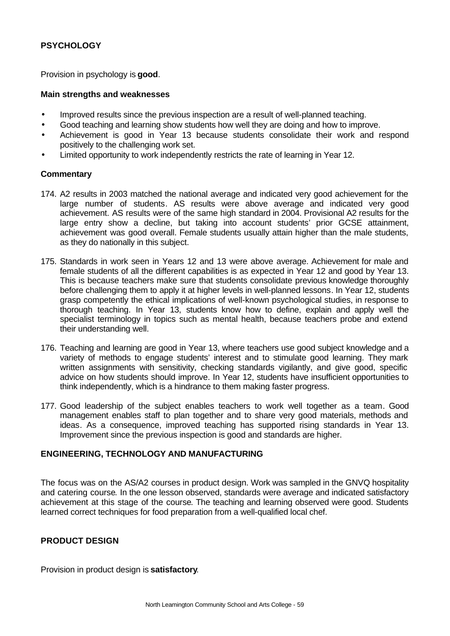# **PSYCHOLOGY**

Provision in psychology is **good**.

#### **Main strengths and weaknesses**

- Improved results since the previous inspection are a result of well-planned teaching.
- Good teaching and learning show students how well they are doing and how to improve.
- Achievement is good in Year 13 because students consolidate their work and respond positively to the challenging work set.
- Limited opportunity to work independently restricts the rate of learning in Year 12.

#### **Commentary**

- 174. A2 results in 2003 matched the national average and indicated very good achievement for the large number of students. AS results were above average and indicated very good achievement. AS results were of the same high standard in 2004. Provisional A2 results for the large entry show a decline, but taking into account students' prior GCSE attainment, achievement was good overall. Female students usually attain higher than the male students, as they do nationally in this subject.
- 175. Standards in work seen in Years 12 and 13 were above average. Achievement for male and female students of all the different capabilities is as expected in Year 12 and good by Year 13. This is because teachers make sure that students consolidate previous knowledge thoroughly before challenging them to apply it at higher levels in well-planned lessons. In Year 12, students grasp competently the ethical implications of well-known psychological studies, in response to thorough teaching. In Year 13, students know how to define, explain and apply well the specialist terminology in topics such as mental health, because teachers probe and extend their understanding well.
- 176. Teaching and learning are good in Year 13, where teachers use good subject knowledge and a variety of methods to engage students' interest and to stimulate good learning. They mark written assignments with sensitivity, checking standards vigilantly, and give good, specific advice on how students should improve. In Year 12, students have insufficient opportunities to think independently, which is a hindrance to them making faster progress.
- 177. Good leadership of the subject enables teachers to work well together as a team. Good management enables staff to plan together and to share very good materials, methods and ideas. As a consequence, improved teaching has supported rising standards in Year 13. Improvement since the previous inspection is good and standards are higher.

# **ENGINEERING, TECHNOLOGY AND MANUFACTURING**

The focus was on the AS/A2 courses in product design. Work was sampled in the GNVQ hospitality and catering course. In the one lesson observed, standards were average and indicated satisfactory achievement at this stage of the course. The teaching and learning observed were good. Students learned correct techniques for food preparation from a well-qualified local chef.

# **PRODUCT DESIGN**

Provision in product design is **satisfactory**.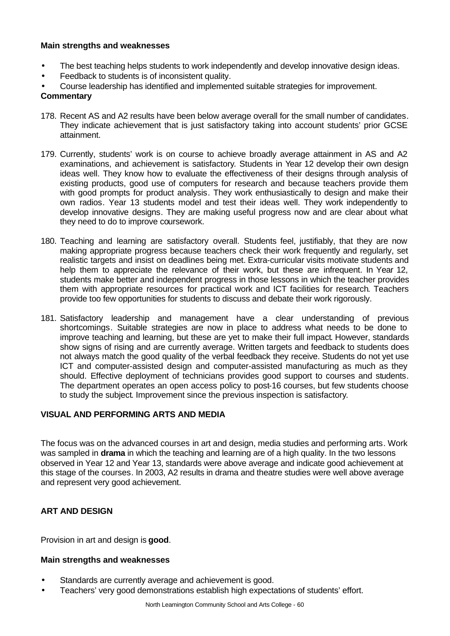# **Main strengths and weaknesses**

- The best teaching helps students to work independently and develop innovative design ideas.
- Feedback to students is of inconsistent quality.
- Course leadership has identified and implemented suitable strategies for improvement.

# **Commentary**

- 178. Recent AS and A2 results have been below average overall for the small number of candidates. They indicate achievement that is just satisfactory taking into account students' prior GCSE attainment.
- 179. Currently, students' work is on course to achieve broadly average attainment in AS and A2 examinations, and achievement is satisfactory. Students in Year 12 develop their own design ideas well. They know how to evaluate the effectiveness of their designs through analysis of existing products, good use of computers for research and because teachers provide them with good prompts for product analysis. They work enthusiastically to design and make their own radios. Year 13 students model and test their ideas well. They work independently to develop innovative designs. They are making useful progress now and are clear about what they need to do to improve coursework.
- 180. Teaching and learning are satisfactory overall. Students feel, justifiably, that they are now making appropriate progress because teachers check their work frequently and regularly, set realistic targets and insist on deadlines being met. Extra-curricular visits motivate students and help them to appreciate the relevance of their work, but these are infrequent. In Year 12, students make better and independent progress in those lessons in which the teacher provides them with appropriate resources for practical work and ICT facilities for research. Teachers provide too few opportunities for students to discuss and debate their work rigorously.
- 181. Satisfactory leadership and management have a clear understanding of previous shortcomings. Suitable strategies are now in place to address what needs to be done to improve teaching and learning, but these are yet to make their full impact. However, standards show signs of rising and are currently average. Written targets and feedback to students does not always match the good quality of the verbal feedback they receive. Students do not yet use ICT and computer-assisted design and computer-assisted manufacturing as much as they should. Effective deployment of technicians provides good support to courses and students. The department operates an open access policy to post-16 courses, but few students choose to study the subject. Improvement since the previous inspection is satisfactory.

# **VISUAL AND PERFORMING ARTS AND MEDIA**

The focus was on the advanced courses in art and design, media studies and performing arts. Work was sampled in **drama** in which the teaching and learning are of a high quality. In the two lessons observed in Year 12 and Year 13, standards were above average and indicate good achievement at this stage of the courses. In 2003, A2 results in drama and theatre studies were well above average and represent very good achievement.

# **ART AND DESIGN**

Provision in art and design is **good**.

# **Main strengths and weaknesses**

- Standards are currently average and achievement is good.
- Teachers' very good demonstrations establish high expectations of students' effort.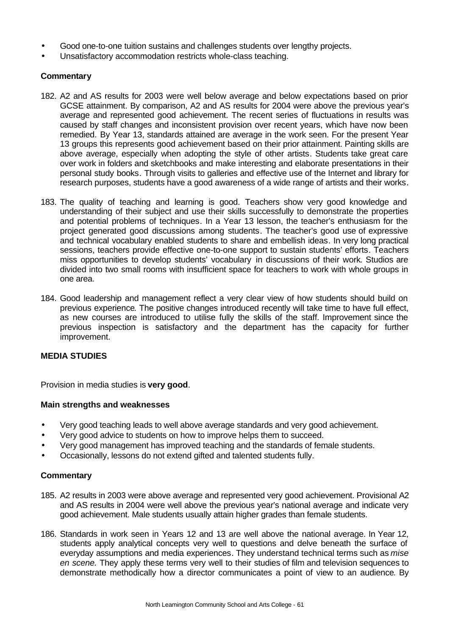- Good one-to-one tuition sustains and challenges students over lengthy projects.
- Unsatisfactory accommodation restricts whole-class teaching.

#### **Commentary**

- 182. A2 and AS results for 2003 were well below average and below expectations based on prior GCSE attainment. By comparison, A2 and AS results for 2004 were above the previous year's average and represented good achievement. The recent series of fluctuations in results was caused by staff changes and inconsistent provision over recent years, which have now been remedied. By Year 13, standards attained are average in the work seen. For the present Year 13 groups this represents good achievement based on their prior attainment. Painting skills are above average, especially when adopting the style of other artists. Students take great care over work in folders and sketchbooks and make interesting and elaborate presentations in their personal study books. Through visits to galleries and effective use of the Internet and library for research purposes, students have a good awareness of a wide range of artists and their works.
- 183. The quality of teaching and learning is good. Teachers show very good knowledge and understanding of their subject and use their skills successfully to demonstrate the properties and potential problems of techniques. In a Year 13 lesson, the teacher's enthusiasm for the project generated good discussions among students. The teacher's good use of expressive and technical vocabulary enabled students to share and embellish ideas. In very long practical sessions, teachers provide effective one-to-one support to sustain students' efforts. Teachers miss opportunities to develop students' vocabulary in discussions of their work. Studios are divided into two small rooms with insufficient space for teachers to work with whole groups in one area.
- 184. Good leadership and management reflect a very clear view of how students should build on previous experience. The positive changes introduced recently will take time to have full effect, as new courses are introduced to utilise fully the skills of the staff. Improvement since the previous inspection is satisfactory and the department has the capacity for further improvement.

#### **MEDIA STUDIES**

Provision in media studies is **very good**.

#### **Main strengths and weaknesses**

- Very good teaching leads to well above average standards and very good achievement.
- Very good advice to students on how to improve helps them to succeed.
- Very good management has improved teaching and the standards of female students.
- Occasionally, lessons do not extend gifted and talented students fully.

- 185. A2 results in 2003 were above average and represented very good achievement. Provisional A2 and AS results in 2004 were well above the previous year's national average and indicate very good achievement. Male students usually attain higher grades than female students.
- 186. Standards in work seen in Years 12 and 13 are well above the national average. In Year 12, students apply analytical concepts very well to questions and delve beneath the surface of everyday assumptions and media experiences. They understand technical terms such as *mise en scene.* They apply these terms very well to their studies of film and television sequences to demonstrate methodically how a director communicates a point of view to an audience. By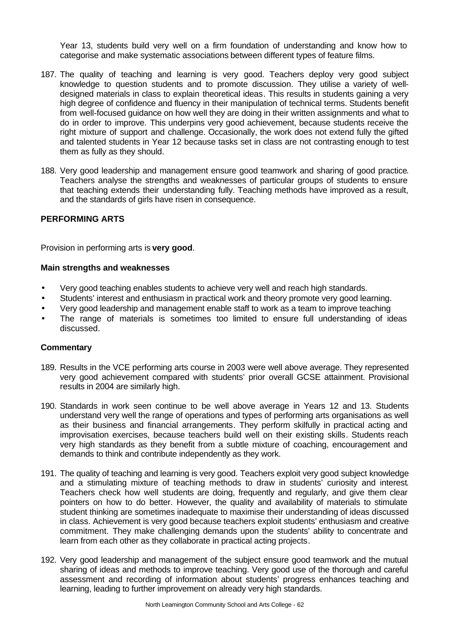Year 13, students build very well on a firm foundation of understanding and know how to categorise and make systematic associations between different types of feature films.

- 187. The quality of teaching and learning is very good. Teachers deploy very good subject knowledge to question students and to promote discussion. They utilise a variety of welldesigned materials in class to explain theoretical ideas. This results in students gaining a very high degree of confidence and fluency in their manipulation of technical terms. Students benefit from well-focused guidance on how well they are doing in their written assignments and what to do in order to improve. This underpins very good achievement, because students receive the right mixture of support and challenge. Occasionally, the work does not extend fully the gifted and talented students in Year 12 because tasks set in class are not contrasting enough to test them as fully as they should.
- 188. Very good leadership and management ensure good teamwork and sharing of good practice. Teachers analyse the strengths and weaknesses of particular groups of students to ensure that teaching extends their understanding fully. Teaching methods have improved as a result, and the standards of girls have risen in consequence.

# **PERFORMING ARTS**

Provision in performing arts is **very good**.

#### **Main strengths and weaknesses**

- Very good teaching enables students to achieve very well and reach high standards.
- Students' interest and enthusiasm in practical work and theory promote very good learning.
- Very good leadership and management enable staff to work as a team to improve teaching
- The range of materials is sometimes too limited to ensure full understanding of ideas discussed.

- 189. Results in the VCE performing arts course in 2003 were well above average. They represented very good achievement compared with students' prior overall GCSE attainment. Provisional results in 2004 are similarly high.
- 190. Standards in work seen continue to be well above average in Years 12 and 13. Students understand very well the range of operations and types of performing arts organisations as well as their business and financial arrangements. They perform skilfully in practical acting and improvisation exercises, because teachers build well on their existing skills. Students reach very high standards as they benefit from a subtle mixture of coaching, encouragement and demands to think and contribute independently as they work.
- 191. The quality of teaching and learning is very good. Teachers exploit very good subject knowledge and a stimulating mixture of teaching methods to draw in students' curiosity and interest. Teachers check how well students are doing, frequently and regularly, and give them clear pointers on how to do better. However, the quality and availability of materials to stimulate student thinking are sometimes inadequate to maximise their understanding of ideas discussed in class. Achievement is very good because teachers exploit students' enthusiasm and creative commitment. They make challenging demands upon the students' ability to concentrate and learn from each other as they collaborate in practical acting projects.
- 192. Very good leadership and management of the subject ensure good teamwork and the mutual sharing of ideas and methods to improve teaching. Very good use of the thorough and careful assessment and recording of information about students' progress enhances teaching and learning, leading to further improvement on already very high standards.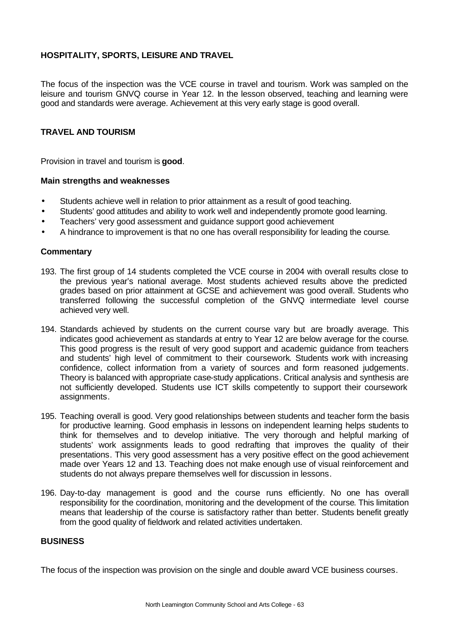# **HOSPITALITY, SPORTS, LEISURE AND TRAVEL**

The focus of the inspection was the VCE course in travel and tourism. Work was sampled on the leisure and tourism GNVQ course in Year 12. In the lesson observed, teaching and learning were good and standards were average. Achievement at this very early stage is good overall.

# **TRAVEL AND TOURISM**

Provision in travel and tourism is **good**.

#### **Main strengths and weaknesses**

- Students achieve well in relation to prior attainment as a result of good teaching.
- Students' good attitudes and ability to work well and independently promote good learning.
- Teachers' very good assessment and guidance support good achievement
- A hindrance to improvement is that no one has overall responsibility for leading the course.

#### **Commentary**

- 193. The first group of 14 students completed the VCE course in 2004 with overall results close to the previous year's national average. Most students achieved results above the predicted grades based on prior attainment at GCSE and achievement was good overall. Students who transferred following the successful completion of the GNVQ intermediate level course achieved very well.
- 194. Standards achieved by students on the current course vary but are broadly average. This indicates good achievement as standards at entry to Year 12 are below average for the course. This good progress is the result of very good support and academic guidance from teachers and students' high level of commitment to their coursework. Students work with increasing confidence, collect information from a variety of sources and form reasoned judgements. Theory is balanced with appropriate case-study applications. Critical analysis and synthesis are not sufficiently developed. Students use ICT skills competently to support their coursework assignments.
- 195. Teaching overall is good. Very good relationships between students and teacher form the basis for productive learning. Good emphasis in lessons on independent learning helps students to think for themselves and to develop initiative. The very thorough and helpful marking of students' work assignments leads to good redrafting that improves the quality of their presentations. This very good assessment has a very positive effect on the good achievement made over Years 12 and 13. Teaching does not make enough use of visual reinforcement and students do not always prepare themselves well for discussion in lessons.
- 196. Day-to-day management is good and the course runs efficiently. No one has overall responsibility for the coordination, monitoring and the development of the course. This limitation means that leadership of the course is satisfactory rather than better. Students benefit greatly from the good quality of fieldwork and related activities undertaken.

# **BUSINESS**

The focus of the inspection was provision on the single and double award VCE business courses.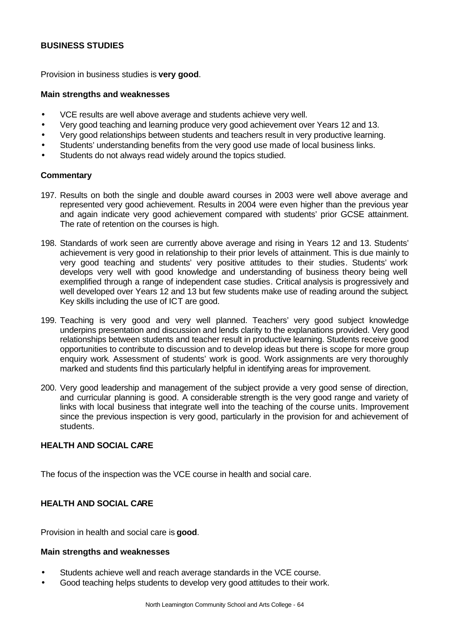# **BUSINESS STUDIES**

Provision in business studies is **very good**.

#### **Main strengths and weaknesses**

- VCE results are well above average and students achieve very well.
- Very good teaching and learning produce very good achievement over Years 12 and 13.
- Very good relationships between students and teachers result in very productive learning.
- Students' understanding benefits from the very good use made of local business links.
- Students do not always read widely around the topics studied.

#### **Commentary**

- 197. Results on both the single and double award courses in 2003 were well above average and represented very good achievement. Results in 2004 were even higher than the previous year and again indicate very good achievement compared with students' prior GCSE attainment. The rate of retention on the courses is high.
- 198. Standards of work seen are currently above average and rising in Years 12 and 13. Students' achievement is very good in relationship to their prior levels of attainment. This is due mainly to very good teaching and students' very positive attitudes to their studies. Students' work develops very well with good knowledge and understanding of business theory being well exemplified through a range of independent case studies. Critical analysis is progressively and well developed over Years 12 and 13 but few students make use of reading around the subject. Key skills including the use of ICT are good.
- 199. Teaching is very good and very well planned. Teachers' very good subject knowledge underpins presentation and discussion and lends clarity to the explanations provided. Very good relationships between students and teacher result in productive learning. Students receive good opportunities to contribute to discussion and to develop ideas but there is scope for more group enquiry work. Assessment of students' work is good. Work assignments are very thoroughly marked and students find this particularly helpful in identifying areas for improvement.
- 200. Very good leadership and management of the subject provide a very good sense of direction, and curricular planning is good. A considerable strength is the very good range and variety of links with local business that integrate well into the teaching of the course units. Improvement since the previous inspection is very good, particularly in the provision for and achievement of students.

# **HEALTH AND SOCIAL CARE**

The focus of the inspection was the VCE course in health and social care.

# **HEALTH AND SOCIAL CARE**

Provision in health and social care is **good**.

#### **Main strengths and weaknesses**

- Students achieve well and reach average standards in the VCE course.
- Good teaching helps students to develop very good attitudes to their work.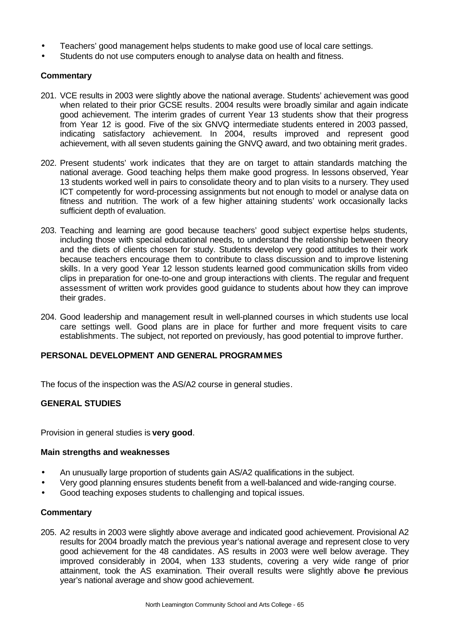- Teachers' good management helps students to make good use of local care settings.
- Students do not use computers enough to analyse data on health and fitness.

# **Commentary**

- 201. VCE results in 2003 were slightly above the national average. Students' achievement was good when related to their prior GCSE results. 2004 results were broadly similar and again indicate good achievement. The interim grades of current Year 13 students show that their progress from Year 12 is good. Five of the six GNVQ intermediate students entered in 2003 passed, indicating satisfactory achievement. In 2004, results improved and represent good achievement, with all seven students gaining the GNVQ award, and two obtaining merit grades.
- 202. Present students' work indicates that they are on target to attain standards matching the national average. Good teaching helps them make good progress. In lessons observed, Year 13 students worked well in pairs to consolidate theory and to plan visits to a nursery. They used ICT competently for word-processing assignments but not enough to model or analyse data on fitness and nutrition. The work of a few higher attaining students' work occasionally lacks sufficient depth of evaluation.
- 203. Teaching and learning are good because teachers' good subject expertise helps students, including those with special educational needs, to understand the relationship between theory and the diets of clients chosen for study. Students develop very good attitudes to their work because teachers encourage them to contribute to class discussion and to improve listening skills. In a very good Year 12 lesson students learned good communication skills from video clips in preparation for one-to-one and group interactions with clients. The regular and frequent assessment of written work provides good guidance to students about how they can improve their grades.
- 204. Good leadership and management result in well-planned courses in which students use local care settings well. Good plans are in place for further and more frequent visits to care establishments. The subject, not reported on previously, has good potential to improve further.

# **PERSONAL DEVELOPMENT AND GENERAL PROGRAMMES**

The focus of the inspection was the AS/A2 course in general studies.

# **GENERAL STUDIES**

Provision in general studies is **very good**.

# **Main strengths and weaknesses**

- An unusually large proportion of students gain AS/A2 qualifications in the subject.
- Very good planning ensures students benefit from a well-balanced and wide-ranging course.
- Good teaching exposes students to challenging and topical issues.

# **Commentary**

205. A2 results in 2003 were slightly above average and indicated good achievement. Provisional A2 results for 2004 broadly match the previous year's national average and represent close to very good achievement for the 48 candidates. AS results in 2003 were well below average. They improved considerably in 2004, when 133 students, covering a very wide range of prior attainment, took the AS examination. Their overall results were slightly above the previous year's national average and show good achievement.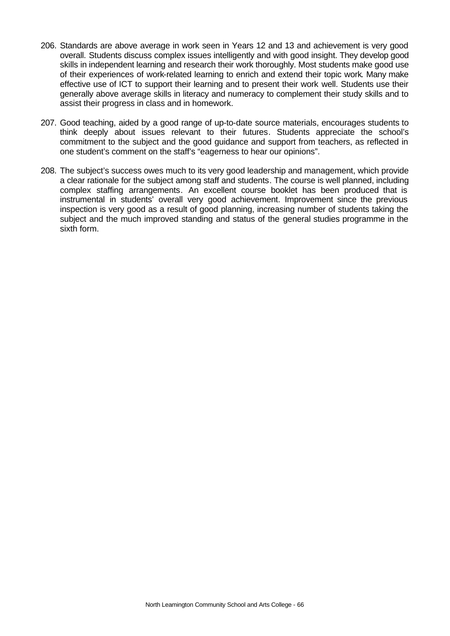- 206. Standards are above average in work seen in Years 12 and 13 and achievement is very good overall. Students discuss complex issues intelligently and with good insight. They develop good skills in independent learning and research their work thoroughly. Most students make good use of their experiences of work-related learning to enrich and extend their topic work. Many make effective use of ICT to support their learning and to present their work well. Students use their generally above average skills in literacy and numeracy to complement their study skills and to assist their progress in class and in homework.
- 207. Good teaching, aided by a good range of up-to-date source materials, encourages students to think deeply about issues relevant to their futures. Students appreciate the school's commitment to the subject and the good guidance and support from teachers, as reflected in one student's comment on the staff's "eagerness to hear our opinions".
- 208. The subject's success owes much to its very good leadership and management, which provide a clear rationale for the subject among staff and students. The course is well planned, including complex staffing arrangements. An excellent course booklet has been produced that is instrumental in students' overall very good achievement. Improvement since the previous inspection is very good as a result of good planning, increasing number of students taking the subject and the much improved standing and status of the general studies programme in the sixth form.